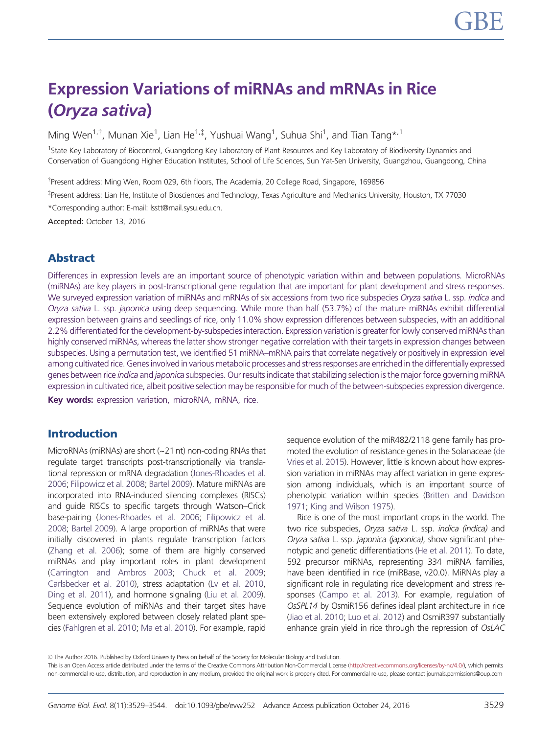# Expression Variations of miRNAs and mRNAs in Rice (Oryza sativa)

Ming Wen<sup>1,†</sup>, Munan Xie<sup>1</sup>, Lian He<sup>1,‡</sup>, Yushuai Wang<sup>1</sup>, Suhua Shi<sup>1</sup>, and Tian Tang\*<sup>,1</sup>

<sup>1</sup>State Key Laboratory of Biocontrol, Guangdong Key Laboratory of Plant Resources and Key Laboratory of Biodiversity Dynamics and Conservation of Guangdong Higher Education Institutes, School of Life Sciences, Sun Yat-Sen University, Guangzhou, Guangdong, China

<sup>†</sup> Present address: Ming Wen, Room 029, 6th floors, The Academia, 20 College Road, Singapore, 169856

z Present address: Lian He, Institute of Biosciences and Technology, Texas Agriculture and Mechanics University, Houston, TX 77030

\*Corresponding author: E-mail: lsstt@mail.sysu.edu.cn.

Accepted: October 13, 2016

# Abstract

Differences in expression levels are an important source of phenotypic variation within and between populations. MicroRNAs (miRNAs) are key players in post-transcriptional gene regulation that are important for plant development and stress responses. We surveyed expression variation of miRNAs and mRNAs of six accessions from two rice subspecies Oryza sativa L. ssp. indica and Oryza sativa L. ssp. japonica using deep sequencing. While more than half (53.7%) of the mature miRNAs exhibit differential expression between grains and seedlings of rice, only 11.0% show expression differences between subspecies, with an additional 2.2% differentiated for the development-by-subspecies interaction. Expression variation is greater for lowly conserved miRNAs than highly conserved miRNAs, whereas the latter show stronger negative correlation with their targets in expression changes between subspecies. Using a permutation test, we identified 51 miRNA–mRNA pairs that correlate negatively or positively in expression level among cultivated rice. Genes involved in various metabolic processes and stress responses are enriched in the differentially expressed genes between rice indica and japonica subspecies. Our results indicate that stabilizing selection is the major force governing miRNA expression in cultivated rice, albeit positive selection may be responsible for much of the between-subspecies expression divergence.

Key words: expression variation, microRNA, mRNA, rice.

# Introduction

MicroRNAs (miRNAs) are short (~21 nt) non-coding RNAs that regulate target transcripts post-transcriptionally via translational repression or mRNA degradation [\(Jones-Rhoades et al.](#page-14-0) [2006;](#page-14-0) [Filipowicz et al. 2008](#page-14-0); [Bartel 2009](#page-13-0)). Mature miRNAs are incorporated into RNA-induced silencing complexes (RISCs) and guide RISCs to specific targets through Watson–Crick base-pairing [\(Jones-Rhoades et al. 2006](#page-14-0); [Filipowicz et al.](#page-14-0) [2008;](#page-14-0) [Bartel 2009](#page-13-0)). A large proportion of miRNAs that were initially discovered in plants regulate transcription factors [\(Zhang et al. 2006\)](#page-15-0); some of them are highly conserved miRNAs and play important roles in plant development [\(Carrington and Ambros 2003;](#page-13-0) [Chuck et al. 2009;](#page-13-0) [Carlsbecker et al. 2010](#page-13-0)), stress adaptation ([Lv et al. 2010,](#page-14-0) [Ding et al. 2011\)](#page-13-0), and hormone signaling ([Liu et al. 2009](#page-14-0)). Sequence evolution of miRNAs and their target sites have been extensively explored between closely related plant species ([Fahlgren et al. 2010](#page-13-0); [Ma et al. 2010\)](#page-14-0). For example, rapid

sequence evolution of the miR482/2118 gene family has promoted the evolution of resistance genes in the Solanaceae [\(de](#page-13-0) [Vries et al. 2015](#page-13-0)). However, little is known about how expression variation in miRNAs may affect variation in gene expression among individuals, which is an important source of phenotypic variation within species [\(Britten and Davidson](#page-13-0) [1971](#page-13-0); [King and Wilson 1975\)](#page-14-0).

Rice is one of the most important crops in the world. The two rice subspecies, Oryza sativa L. ssp. indica (indica) and Oryza sativa L. ssp. japonica (japonica), show significant phenotypic and genetic differentiations [\(He et al. 2011](#page-14-0)). To date, 592 precursor miRNAs, representing 334 miRNA families, have been identified in rice (miRBase, v20.0). MiRNAs play a significant role in regulating rice development and stress responses ([Campo et al. 2013](#page-13-0)). For example, regulation of OsSPL14 by OsmiR156 defines ideal plant architecture in rice [\(Jiao et al. 2010](#page-14-0); [Luo et al. 2012\)](#page-14-0) and OsmiR397 substantially enhance grain yield in rice through the repression of OsLAC

This is an Open Access article distributed under the terms of the Creative Commons Attribution Non-Commercial License [\(http://creativecommons.org/licenses/by-nc/4.0/](http://creativecommons.org/licenses/by-nc/4.0/)), which permits non-commercial re-use, distribution, and reproduction in any medium, provided the original work is properly cited. For commercial re-use, please contact journals.permissions@oup.com

<sup>©</sup> The Author 2016. Published by Oxford University Press on behalf of the Society for Molecular Biology and Evolution.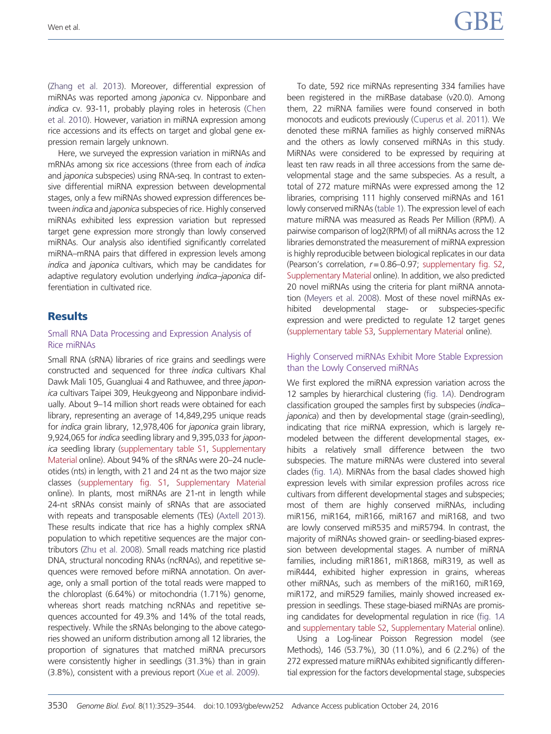[\(Zhang et al. 2013](#page-15-0)). Moreover, differential expression of miRNAs was reported among japonica cv. Nipponbare and indica cv. 93-11, probably playing roles in heterosis ([Chen](#page-13-0) [et al. 2010](#page-13-0)). However, variation in miRNA expression among rice accessions and its effects on target and global gene expression remain largely unknown.

Here, we surveyed the expression variation in miRNAs and mRNAs among six rice accessions (three from each of indica and *japonica* subspecies) using RNA-seq. In contrast to extensive differential miRNA expression between developmental stages, only a few miRNAs showed expression differences between indica and japonica subspecies of rice. Highly conserved miRNAs exhibited less expression variation but repressed target gene expression more strongly than lowly conserved miRNAs. Our analysis also identified significantly correlated miRNA–mRNA pairs that differed in expression levels among indica and japonica cultivars, which may be candidates for adaptive regulatory evolution underlying indica–japonica differentiation in cultivated rice.

## **Results**

#### Small RNA Data Processing and Expression Analysis of Rice miRNAs

Small RNA (sRNA) libraries of rice grains and seedlings were constructed and sequenced for three indica cultivars Khal Dawk Mali 105, Guangluai 4 and Rathuwee, and three japonica cultivars Taipei 309, Heukgyeong and Nipponbare individually. About 9–14 million short reads were obtained for each library, representing an average of 14,849,295 unique reads for indica grain library, 12,978,406 for japonica grain library, 9,924,065 for indica seedling library and 9,395,033 for japonica seedling library ([supplementary table S1](http://gbe.oxfordjournals.org/lookup/suppl/doi:10.1093/gbe/evw252/-/DC1), [Supplementary](http://gbe.oxfordjournals.org/lookup/suppl/doi:10.1093/gbe/evw252/-/DC1) [Material](http://gbe.oxfordjournals.org/lookup/suppl/doi:10.1093/gbe/evw252/-/DC1) online). About 94% of the sRNAs were 20–24 nucleotides (nts) in length, with 21 and 24 nt as the two major size classes [\(supplementary fig. S1,](http://gbe.oxfordjournals.org/lookup/suppl/doi:10.1093/gbe/evw252/-/DC1) [Supplementary Material](http://gbe.oxfordjournals.org/lookup/suppl/doi:10.1093/gbe/evw252/-/DC1) online). In plants, most miRNAs are 21-nt in length while 24-nt sRNAs consist mainly of sRNAs that are associated with repeats and transposable elements (TEs) [\(Axtell 2013](#page-13-0)). These results indicate that rice has a highly complex sRNA population to which repetitive sequences are the major contributors ([Zhu et al. 2008\)](#page-15-0). Small reads matching rice plastid DNA, structural noncoding RNAs (ncRNAs), and repetitive sequences were removed before miRNA annotation. On average, only a small portion of the total reads were mapped to the chloroplast (6.64%) or mitochondria (1.71%) genome, whereas short reads matching ncRNAs and repetitive sequences accounted for 49.3% and 14% of the total reads, respectively. While the sRNAs belonging to the above categories showed an uniform distribution among all 12 libraries, the proportion of signatures that matched miRNA precursors were consistently higher in seedlings (31.3%) than in grain (3.8%), consistent with a previous report ([Xue et al. 2009\)](#page-15-0).

To date, 592 rice miRNAs representing 334 families have been registered in the miRBase database (v20.0). Among them, 22 miRNA families were found conserved in both monocots and eudicots previously [\(Cuperus et al. 2011\)](#page-13-0). We denoted these miRNA families as highly conserved miRNAs and the others as lowly conserved miRNAs in this study. MiRNAs were considered to be expressed by requiring at least ten raw reads in all three accessions from the same developmental stage and the same subspecies. As a result, a total of 272 mature miRNAs were expressed among the 12 libraries, comprising 111 highly conserved miRNAs and 161 lowly conserved miRNAs ([table 1\)](#page-2-0). The expression level of each mature miRNA was measured as Reads Per Million (RPM). A pairwise comparison of log2(RPM) of all miRNAs across the 12 libraries demonstrated the measurement of miRNA expression is highly reproducible between biological replicates in our data (Pearson's correlation,  $r = 0.86 - 0.97$ ; [supplementary fig. S2](http://gbe.oxfordjournals.org/lookup/suppl/doi:10.1093/gbe/evw252/-/DC1), [Supplementary Material](http://gbe.oxfordjournals.org/lookup/suppl/doi:10.1093/gbe/evw252/-/DC1) online). In addition, we also predicted 20 novel miRNAs using the criteria for plant miRNA annotation ([Meyers et al. 2008](#page-14-0)). Most of these novel miRNAs exhibited developmental stage- or subspecies-specific expression and were predicted to regulate 12 target genes ([supplementary table S3,](http://gbe.oxfordjournals.org/lookup/suppl/doi:10.1093/gbe/evw252/-/DC1) [Supplementary Material](http://gbe.oxfordjournals.org/lookup/suppl/doi:10.1093/gbe/evw252/-/DC1) online).

### Highly Conserved miRNAs Exhibit More Stable Expression than the Lowly Conserved miRNAs

We first explored the miRNA expression variation across the 12 samples by hierarchical clustering [\(fig. 1](#page-2-0)A). Dendrogram classification grouped the samples first by subspecies (indica– japonica) and then by developmental stage (grain-seedling), indicating that rice miRNA expression, which is largely remodeled between the different developmental stages, exhibits a relatively small difference between the two subspecies. The mature miRNAs were clustered into several clades [\(fig. 1](#page-2-0)A). MiRNAs from the basal clades showed high expression levels with similar expression profiles across rice cultivars from different developmental stages and subspecies; most of them are highly conserved miRNAs, including miR156, miR164, miR166, miR167 and miR168, and two are lowly conserved miR535 and miR5794. In contrast, the majority of miRNAs showed grain- or seedling-biased expression between developmental stages. A number of miRNA families, including miR1861, miR1868, miR319, as well as miR444, exhibited higher expression in grains, whereas other miRNAs, such as members of the miR160, miR169, miR172, and miR529 families, mainly showed increased expression in seedlings. These stage-biased miRNAs are promising candidates for developmental regulation in rice [\(fig. 1](#page-2-0)A and [supplementary table S2,](http://gbe.oxfordjournals.org/lookup/suppl/doi:10.1093/gbe/evw252/-/DC1) [Supplementary Material](http://gbe.oxfordjournals.org/lookup/suppl/doi:10.1093/gbe/evw252/-/DC1) online). Using a Log-linear Poisson Regression model (see

Methods), 146 (53.7%), 30 (11.0%), and 6 (2.2%) of the 272 expressed mature miRNAs exhibited significantly differential expression for the factors developmental stage, subspecies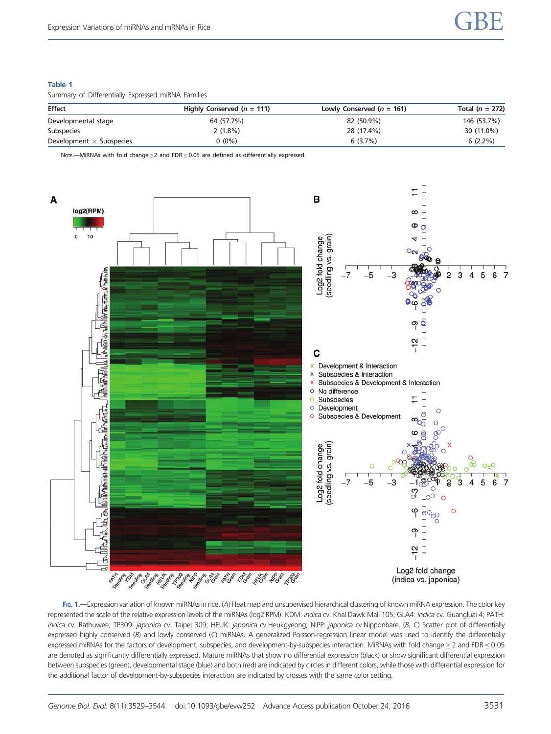## <span id="page-2-0"></span>Table 1

Summary of Differentially Expressed miRNA Families

| <b>Effect</b>                   | Highly Conserved $(n = 111)$ | Lowly Conserved $(n = 161)$ | Total $(n = 272)$ |
|---------------------------------|------------------------------|-----------------------------|-------------------|
| Developmental stage             | 64 (57.7%)                   | 82 (50.9%)                  | 146 (53.7%)       |
| Subspecies                      | $2(1.8\%)$                   | 28 (17.4%)                  | 30 (11.0%)        |
| Development $\times$ Subspecies | $0(0\%)$                     | 6(3.7%)                     | $6(2.2\%)$        |

Note.—MiRNAs with fold change  $\geq$  and FDR  $\leq$  0.05 are defined as differentially expressed.



FIG. 1.—Expression variation of known miRNAs in rice. (A) Heat map and unsupervised hierarchical clustering of known miRNA expression. The color key represented the scale of the relative expression levels of the miRNAs (log2 RPM). KDM: indica cv. Khal Dawk Mali 105; GLA4: indica cv. Guangluai 4; PATH: indica cv. Rathuwee; TP309: japonica cv. Taipei 309; HEUK: japonica cv.Heukgyeong; NIPP: japonica cv.Nipponbare. (B, C) Scatter plot of differentially expressed highly conserved (B) and lowly conserved (C) miRNAs. A generalized Poisson-regression linear model was used to identify the differentially expressed miRNAs for the factors of development, subspecies, and development-by-subspecies interaction. MiRNAs with fold change $\geq$  2 and FDR  $\leq$  0.05 are denoted as significantly differentially expressed. Mature miRNAs that show no differential expression (black) or show significant differential expression between subspecies (green), developmental stage (blue) and both (red) are indicated by circles in different colors, while those with differential expression for the additional factor of development-by-subspecies interaction are indicated by crosses with the same color setting.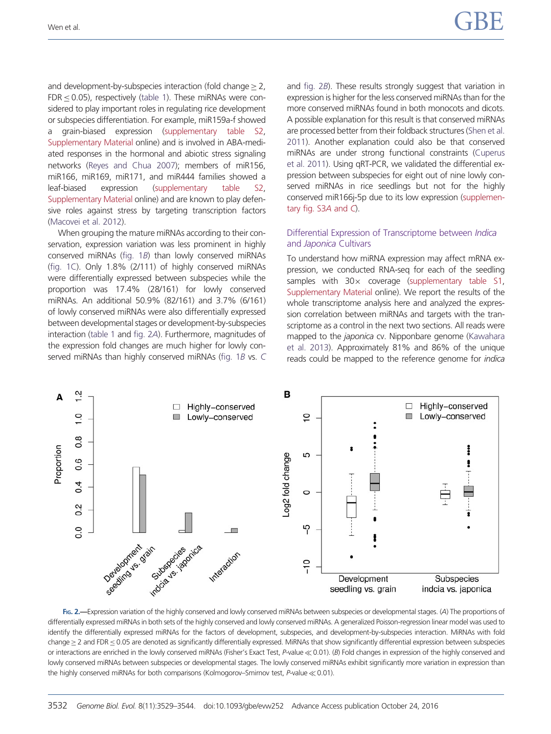and development-by-subspecies interaction (fold change  $\geq$  2,  $FDR < 0.05$ ), respectively [\(table 1](#page-2-0)). These miRNAs were considered to play important roles in regulating rice development or subspecies differentiation. For example, miR159a-f showed a grain-biased expression [\(supplementary table S2,](http://gbe.oxfordjournals.org/lookup/suppl/doi:10.1093/gbe/evw252/-/DC1) [Supplementary Material](http://gbe.oxfordjournals.org/lookup/suppl/doi:10.1093/gbe/evw252/-/DC1) online) and is involved in ABA-mediated responses in the hormonal and abiotic stress signaling networks ([Reyes and Chua 2007](#page-14-0)); members of miR156, miR166, miR169, miR171, and miR444 families showed a leaf-biased expression ([supplementary table S2,](http://gbe.oxfordjournals.org/lookup/suppl/doi:10.1093/gbe/evw252/-/DC1) [Supplementary Material](http://gbe.oxfordjournals.org/lookup/suppl/doi:10.1093/gbe/evw252/-/DC1) online) and are known to play defensive roles against stress by targeting transcription factors [\(Macovei et al. 2012](#page-14-0)).

When grouping the mature miRNAs according to their conservation, expression variation was less prominent in highly conserved miRNAs [\(fig. 1](#page-2-0)B) than lowly conserved miRNAs [\(fig. 1C\)](#page-2-0). Only 1.8% (2/111) of highly conserved miRNAs were differentially expressed between subspecies while the proportion was 17.4% (28/161) for lowly conserved miRNAs. An additional 50.9% (82/161) and 3.7% (6/161) of lowly conserved miRNAs were also differentially expressed between developmental stages or development-by-subspecies interaction ([table 1](#page-2-0) and fig. 2A). Furthermore, magnitudes of the expression fold changes are much higher for lowly con-served miRNAs than highly conserved miRNAs [\(fig. 1](#page-2-0)B vs. [C](#page-2-0) and fig. 2B). These results strongly suggest that variation in expression is higher for the less conserved miRNAs than for the more conserved miRNAs found in both monocots and dicots. A possible explanation for this result is that conserved miRNAs are processed better from their foldback structures [\(Shen et al.](#page-15-0) [2011](#page-15-0)). Another explanation could also be that conserved miRNAs are under strong functional constraints ([Cuperus](#page-13-0) [et al. 2011\)](#page-13-0). Using qRT-PCR, we validated the differential expression between subspecies for eight out of nine lowly conserved miRNAs in rice seedlings but not for the highly conserved miR166j-5p due to its low expression ([supplemen](http://gbe.oxfordjournals.org/lookup/suppl/doi:10.1093/gbe/evw252/-/DC1)[tary fig. S3](http://gbe.oxfordjournals.org/lookup/suppl/doi:10.1093/gbe/evw252/-/DC1)A and C).

#### Differential Expression of Transcriptome between Indica and Japonica Cultivars

To understand how miRNA expression may affect mRNA expression, we conducted RNA-seq for each of the seedling samples with  $30 \times$  coverage [\(supplementary table S1](http://gbe.oxfordjournals.org/lookup/suppl/doi:10.1093/gbe/evw252/-/DC1), [Supplementary Material](http://gbe.oxfordjournals.org/lookup/suppl/doi:10.1093/gbe/evw252/-/DC1) online). We report the results of the whole transcriptome analysis here and analyzed the expression correlation between miRNAs and targets with the transcriptome as a control in the next two sections. All reads were mapped to the *japonica* cv. Nipponbare genome [\(Kawahara](#page-14-0) [et al. 2013](#page-14-0)). Approximately 81% and 86% of the unique reads could be mapped to the reference genome for indica



FIG. 2.—Expression variation of the highly conserved and lowly conserved miRNAs between subspecies or developmental stages. (A) The proportions of differentially expressed miRNAs in both sets of the highly conserved and lowly conserved miRNAs. A generalized Poisson-regression linear model was used to identify the differentially expressed miRNAs for the factors of development, subspecies, and development-by-subspecies interaction. MiRNAs with fold change $\geq$  2 and FDR  $\leq$  0.05 are denoted as significantly differentially expressed. MiRNAs that show significantly differential expression between subspecies or interactions are enriched in the lowly conserved miRNAs (Fisher's Exact Test, P-value  $\ll$  0.01). (B) Fold changes in expression of the highly conserved and lowly conserved miRNAs between subspecies or developmental stages. The lowly conserved miRNAs exhibit significantly more variation in expression than the highly conserved miRNAs for both comparisons (Kolmogorov–Smirnov test,  $P$ -value  $\ll$  0.01).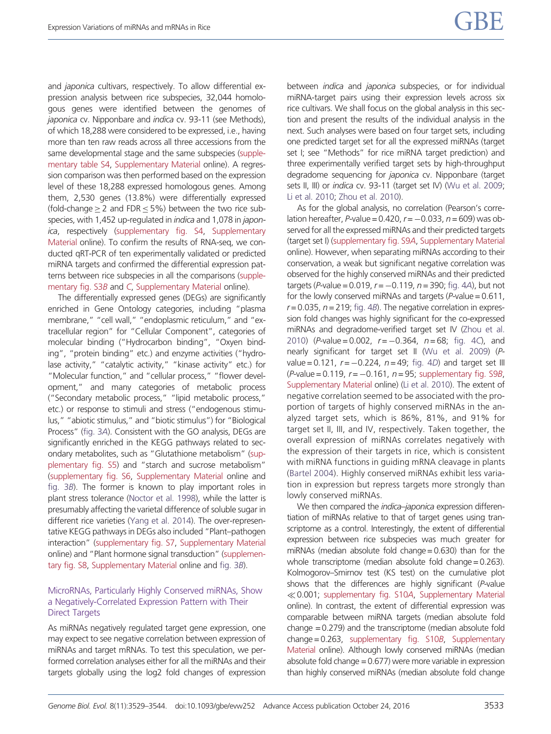and *japonica* cultivars, respectively. To allow differential expression analysis between rice subspecies, 32,044 homologous genes were identified between the genomes of japonica cv. Nipponbare and *indica* cv. 93-11 (see Methods), of which 18,288 were considered to be expressed, i.e., having more than ten raw reads across all three accessions from the same developmental stage and the same subspecies [\(supple](http://gbe.oxfordjournals.org/lookup/suppl/doi:10.1093/gbe/evw252/-/DC1)[mentary table S4,](http://gbe.oxfordjournals.org/lookup/suppl/doi:10.1093/gbe/evw252/-/DC1) [Supplementary Material](http://gbe.oxfordjournals.org/lookup/suppl/doi:10.1093/gbe/evw252/-/DC1) online). A regression comparison was then performed based on the expression level of these 18,288 expressed homologous genes. Among them, 2,530 genes (13.8%) were differentially expressed (fold-change  $\geq$  2 and FDR  $\leq$  5%) between the two rice subspecies, with 1,452 up-regulated in indica and 1,078 in japonica, respectively [\(supplementary fig. S4,](http://gbe.oxfordjournals.org/lookup/suppl/doi:10.1093/gbe/evw252/-/DC1) [Supplementary](http://gbe.oxfordjournals.org/lookup/suppl/doi:10.1093/gbe/evw252/-/DC1) [Material](http://gbe.oxfordjournals.org/lookup/suppl/doi:10.1093/gbe/evw252/-/DC1) online). To confirm the results of RNA-seq, we conducted qRT-PCR of ten experimentally validated or predicted miRNA targets and confirmed the differential expression patterns between rice subspecies in all the comparisons [\(supple](http://gbe.oxfordjournals.org/lookup/suppl/doi:10.1093/gbe/evw252/-/DC1)[mentary fig. S3](http://gbe.oxfordjournals.org/lookup/suppl/doi:10.1093/gbe/evw252/-/DC1)B and [C](http://gbe.oxfordjournals.org/lookup/suppl/doi:10.1093/gbe/evw252/-/DC1), [Supplementary Material](http://gbe.oxfordjournals.org/lookup/suppl/doi:10.1093/gbe/evw252/-/DC1) online).

The differentially expressed genes (DEGs) are significantly enriched in Gene Ontology categories, including "plasma membrane," "cell wall," "endoplasmic reticulum," and "extracellular region" for "Cellular Component", categories of molecular binding ("Hydrocarbon binding", "Oxyen binding", "protein binding" etc.) and enzyme activities ("hydrolase activity," "catalytic activity," "kinase activity" etc.) for "Molecular function," and "cellular process," "flower development," and many categories of metabolic process ("Secondary metabolic process," "lipid metabolic process," etc.) or response to stimuli and stress ("endogenous stimulus," "abiotic stimulus," and "biotic stimulus") for "Biological Process" [\(fig. 3](#page-5-0)A). Consistent with the GO analysis, DEGs are significantly enriched in the KEGG pathways related to secondary metabolites, such as "Glutathione metabolism" [\(sup](http://gbe.oxfordjournals.org/lookup/suppl/doi:10.1093/gbe/evw252/-/DC1)[plementary fig. S5](http://gbe.oxfordjournals.org/lookup/suppl/doi:10.1093/gbe/evw252/-/DC1)) and "starch and sucrose metabolism" [\(supplementary fig. S6](http://gbe.oxfordjournals.org/lookup/suppl/doi:10.1093/gbe/evw252/-/DC1), [Supplementary Material](http://gbe.oxfordjournals.org/lookup/suppl/doi:10.1093/gbe/evw252/-/DC1) online and [fig. 3](#page-5-0)B). The former is known to play important roles in plant stress tolerance [\(Noctor et al. 1998\)](#page-14-0), while the latter is presumably affecting the varietal difference of soluble sugar in different rice varieties ([Yang et al. 2014\)](#page-15-0). The over-representative KEGG pathways in DEGs also included "Plant–pathogen interaction" ([supplementary fig. S7,](http://gbe.oxfordjournals.org/lookup/suppl/doi:10.1093/gbe/evw252/-/DC1) [Supplementary Material](http://gbe.oxfordjournals.org/lookup/suppl/doi:10.1093/gbe/evw252/-/DC1) online) and "Plant hormone signal transduction" [\(supplemen](http://gbe.oxfordjournals.org/lookup/suppl/doi:10.1093/gbe/evw252/-/DC1)[tary fig. S8,](http://gbe.oxfordjournals.org/lookup/suppl/doi:10.1093/gbe/evw252/-/DC1) [Supplementary Material](http://gbe.oxfordjournals.org/lookup/suppl/doi:10.1093/gbe/evw252/-/DC1) online and [fig. 3](#page-5-0)B).

## MicroRNAs, Particularly Highly Conserved miRNAs, Show a Negatively-Correlated Expression Pattern with Their Direct Targets

As miRNAs negatively regulated target gene expression, one may expect to see negative correlation between expression of miRNAs and target mRNAs. To test this speculation, we performed correlation analyses either for all the miRNAs and their targets globally using the log2 fold changes of expression

between *indica* and *japonica* subspecies, or for individual miRNA-target pairs using their expression levels across six rice cultivars. We shall focus on the global analysis in this section and present the results of the individual analysis in the next. Such analyses were based on four target sets, including one predicted target set for all the expressed miRNAs (target set I; see "Methods" for rice miRNA target prediction) and three experimentally verified target sets by high-throughput degradome sequencing for japonica cv. Nipponbare (target sets II, III) or *indica* cv. 93-11 (target set IV) [\(Wu et al. 2009](#page-15-0); [Li et al. 2010](#page-14-0); [Zhou et al. 2010](#page-15-0)).

As for the global analysis, no correlation (Pearson's correlation hereafter, P-value =  $0.420$ ,  $r = -0.033$ ,  $n = 609$ ) was observed for all the expressed miRNAs and their predicted targets (target set I) [\(supplementary fig. S9](http://gbe.oxfordjournals.org/lookup/suppl/doi:10.1093/gbe/evw252/-/DC1)A, [Supplementary Material](http://gbe.oxfordjournals.org/lookup/suppl/doi:10.1093/gbe/evw252/-/DC1) online). However, when separating miRNAs according to their conservation, a weak but significant negative correlation was observed for the highly conserved miRNAs and their predicted targets (P-value =  $0.019$ ,  $r = -0.119$ ,  $n = 390$ ; [fig. 4](#page-6-0)A), but not for the lowly conserved miRNAs and targets ( $P$ -value = 0.611,  $r = 0.035$ ,  $n = 219$ ; [fig. 4](#page-6-0)B). The negative correlation in expression fold changes was highly significant for the co-expressed miRNAs and degradome-verified target set IV [\(Zhou et al.](#page-15-0) [2010](#page-15-0)) (*P*-value = 0.002,  $r = -0.364$ ,  $n = 68$ ; [fig. 4](#page-6-0)C), and nearly significant for target set II [\(Wu et al. 2009](#page-15-0)) (Pvalue = 0.121,  $r = -0.224$ ,  $n = 49$ ; [fig. 4](#page-6-0)D) and target set III (P-value =  $0.119$ ,  $r = -0.161$ ,  $n = 95$ ; [supplementary fig. S9](http://gbe.oxfordjournals.org/lookup/suppl/doi:10.1093/gbe/evw252/-/DC1)B, [Supplementary Material](http://gbe.oxfordjournals.org/lookup/suppl/doi:10.1093/gbe/evw252/-/DC1) online) [\(Li et al. 2010\)](#page-14-0). The extent of negative correlation seemed to be associated with the proportion of targets of highly conserved miRNAs in the analyzed target sets, which is 86%, 81%, and 91% for target set II, III, and IV, respectively. Taken together, the overall expression of miRNAs correlates negatively with the expression of their targets in rice, which is consistent with miRNA functions in guiding mRNA cleavage in plants ([Bartel 2004\)](#page-13-0). Highly conserved miRNAs exhibit less variation in expression but repress targets more strongly than lowly conserved miRNAs.

We then compared the *indica–japonica* expression differentiation of miRNAs relative to that of target genes using transcriptome as a control. Interestingly, the extent of differential expression between rice subspecies was much greater for miRNAs (median absolute fold change=0.630) than for the whole transcriptome (median absolute fold change = 0.263). Kolmogorov–Smirnov test (KS test) on the cumulative plot shows that the differences are highly significant (P-value  $\ll$  0.001; [supplementary fig. S10](http://gbe.oxfordjournals.org/lookup/suppl/doi:10.1093/gbe/evw252/-/DC1)A, [Supplementary Material](http://gbe.oxfordjournals.org/lookup/suppl/doi:10.1093/gbe/evw252/-/DC1) online). In contrast, the extent of differential expression was comparable between miRNA targets (median absolute fold change =0.279) and the transcriptome (median absolute fold change=0.263, [supplementary fig. S10](http://gbe.oxfordjournals.org/lookup/suppl/doi:10.1093/gbe/evw252/-/DC1)B, [Supplementary](http://gbe.oxfordjournals.org/lookup/suppl/doi:10.1093/gbe/evw252/-/DC1) [Material](http://gbe.oxfordjournals.org/lookup/suppl/doi:10.1093/gbe/evw252/-/DC1) online). Although lowly conserved miRNAs (median absolute fold change =0.677) were more variable in expression than highly conserved miRNAs (median absolute fold change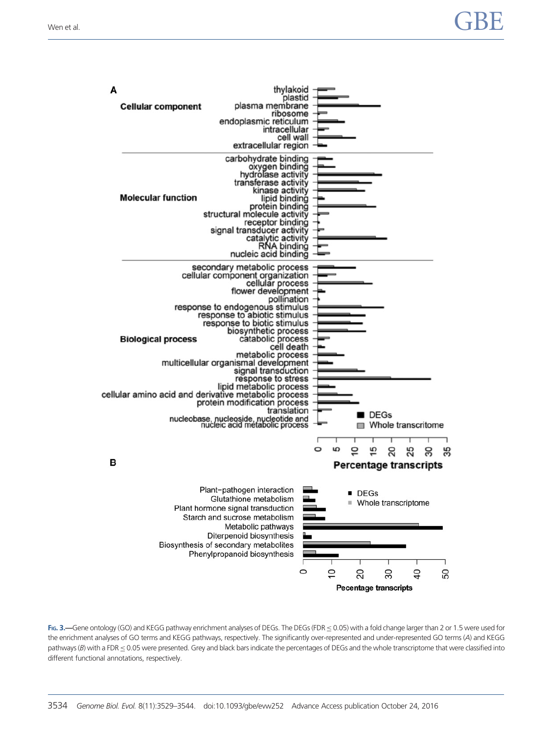<span id="page-5-0"></span>

| A                                                                                 | thylakoid<br>plastid                                                                                                                                                                                                                                                                                                                                                                                                                                                                                                                                 |         |                |                     |                                                     |                |    |
|-----------------------------------------------------------------------------------|------------------------------------------------------------------------------------------------------------------------------------------------------------------------------------------------------------------------------------------------------------------------------------------------------------------------------------------------------------------------------------------------------------------------------------------------------------------------------------------------------------------------------------------------------|---------|----------------|---------------------|-----------------------------------------------------|----------------|----|
| <b>Cellular component</b>                                                         | plasma membrane<br>ribosome<br>endoplasmic reticulum<br>intracellular<br>cell wall<br>extracellular region                                                                                                                                                                                                                                                                                                                                                                                                                                           |         |                |                     |                                                     |                |    |
| <b>Molecular function</b>                                                         | carbohydrate binding<br>oxygen binding<br>hydrolase activity<br>transferase activity<br>kinase activity<br>lipid binding<br>protein binding<br>structural molecule activity<br>receptor binding<br>signal transducer activity<br>catalytic activity<br><b>RNA binding</b><br>nucleic acid binding                                                                                                                                                                                                                                                    |         |                |                     |                                                     |                |    |
| <b>Biological process</b><br>cellular amino acid and derivative metabolic process | secondary metabolic process<br>cellular component organization<br>cellular process<br>flower development<br>pollination<br>response to endogenous stimulus<br>response to abiotic stimulus<br>response to biotic stimulus<br>biosynthetic process<br>catabolic process<br>cell death<br>metabolic process<br>multicellular organismal development<br>signal transduction<br>response to stress<br>lipid metabolic process<br>protein modification process<br>translation<br>nucleobase, nucleoside, nucleotide and<br>nucleic acid métabolic process |         |                |                     | I DEGs                                              |                |    |
| в                                                                                 |                                                                                                                                                                                                                                                                                                                                                                                                                                                                                                                                                      | $\circ$ | 5              | $\circ$             | Whole transcritome<br><b>Percentage transcripts</b> |                | 35 |
|                                                                                   | Plant-pathogen interaction<br>Glutathione metabolism<br>Plant hormone signal transduction<br>Starch and sucrose metabolism<br>Metabolic pathways<br>Diterpenoid biosynthesis<br>Biosynthesis of secondary metabolites<br>Phenylpropanoid biosynthesis<br>Г<br>$\circ$                                                                                                                                                                                                                                                                                |         | ш              | $\blacksquare$ DEGs | Whole transcriptome                                 |                |    |
|                                                                                   |                                                                                                                                                                                                                                                                                                                                                                                                                                                                                                                                                      |         | $\overline{C}$ | 20                  | 30<br><b>Pecentage transcripts</b>                  | $\overline{4}$ | 60 |

FIG. 3. -Gene ontology (GO) and KEGG pathway enrichment analyses of DEGs. The DEGs (FDR  $\leq$  0.05) with a fold change larger than 2 or 1.5 were used for the enrichment analyses of GO terms and KEGG pathways, respectively. The significantly over-represented and under-represented GO terms (A) and KEGG pathways (B) with a FDR  $\leq$  0.05 were presented. Grey and black bars indicate the percentages of DEGs and the whole transcriptome that were classified into different functional annotations, respectively.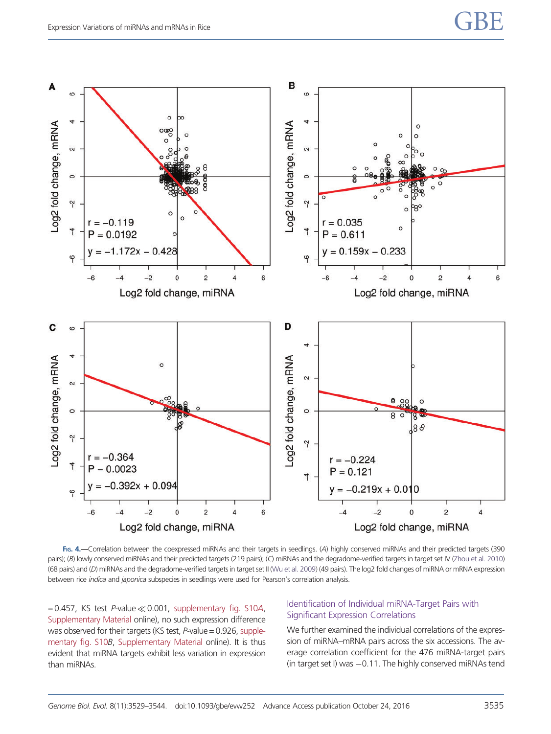<span id="page-6-0"></span>

FIG. 4.—Correlation between the coexpressed miRNAs and their targets in seedlings. (A) highly conserved miRNAs and their predicted targets (390 pairs); (B) lowly conserved miRNAs and their predicted targets (219 pairs); (C) miRNAs and the degradome-verified targets in target set IV [\(Zhou et al. 2010\)](#page-15-0) (68 pairs) and (D) miRNAs and the degradome-verified targets in target set II [\(Wu et al. 2009](#page-15-0)) (49 pairs). The log2 fold changes of miRNA or mRNA expression between rice indica and japonica subspecies in seedlings were used for Pearson's correlation analysis.

 $=0.457$ , KS test P-value  $\ll$  0.001, [supplementary fig. S10](http://gbe.oxfordjournals.org/lookup/suppl/doi:10.1093/gbe/evw252/-/DC1)A, [Supplementary Material](http://gbe.oxfordjournals.org/lookup/suppl/doi:10.1093/gbe/evw252/-/DC1) online), no such expression difference was observed for their targets (KS test, P-value = 0.926, [supple](http://gbe.oxfordjournals.org/lookup/suppl/doi:10.1093/gbe/evw252/-/DC1)[mentary fig. S10](http://gbe.oxfordjournals.org/lookup/suppl/doi:10.1093/gbe/evw252/-/DC1)B, [Supplementary Material](http://gbe.oxfordjournals.org/lookup/suppl/doi:10.1093/gbe/evw252/-/DC1) online). It is thus evident that miRNA targets exhibit less variation in expression than miRNAs.

## Identification of Individual miRNA-Target Pairs with Significant Expression Correlations

We further examined the individual correlations of the expression of miRNA–mRNA pairs across the six accessions. The average correlation coefficient for the 476 miRNA-target pairs (in target set I) was  $-0.11$ . The highly conserved miRNAs tend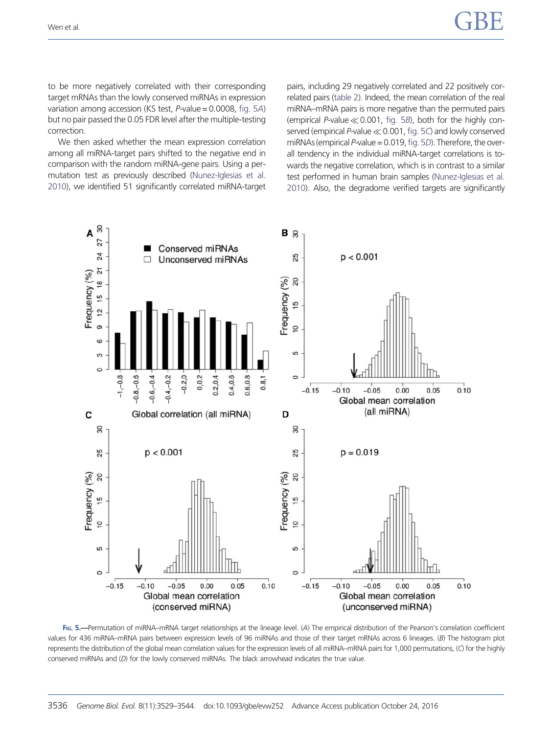to be more negatively correlated with their corresponding target mRNAs than the lowly conserved miRNAs in expression variation among accession (KS test, P-value = 0.0008, fig. 5A) but no pair passed the 0.05 FDR level after the multiple-testing correction.

We then asked whether the mean expression correlation among all miRNA-target pairs shifted to the negative end in comparison with the random miRNA-gene pairs. Using a permutation test as previously described [\(Nunez-Iglesias et al.](#page-14-0) [2010\)](#page-14-0), we identified 51 significantly correlated miRNA-target pairs, including 29 negatively correlated and 22 positively correlated pairs [\(table 2](#page-9-0)). Indeed, the mean correlation of the real miRNA–mRNA pairs is more negative than the permuted pairs (empirical P-value  $\ll$  0.001, fig. 5B), both for the highly conserved (empirical P-value  $\ll$  0.001, fig. 5C) and lowly conserved miRNAs (empirical P-value =  $0.019$ , fig. 5D). Therefore, the overall tendency in the individual miRNA-target correlations is towards the negative correlation, which is in contrast to a similar test performed in human brain samples ([Nunez-Iglesias et al.](#page-14-0) [2010](#page-14-0)). Also, the degradome verified targets are significantly



FIG. 5.-Permutation of miRNA-mRNA target relationships at the lineage level. (A) The empirical distribution of the Pearson's correlation coefficient values for 436 miRNA–mRNA pairs between expression levels of 96 miRNAs and those of their target mRNAs across 6 lineages. (B) The histogram plot represents the distribution of the global mean correlation values for the expression levels of all miRNA–mRNA pairs for 1,000 permutations, (C) for the highly conserved miRNAs and (D) for the lowly conserved miRNAs. The black arrowhead indicates the true value.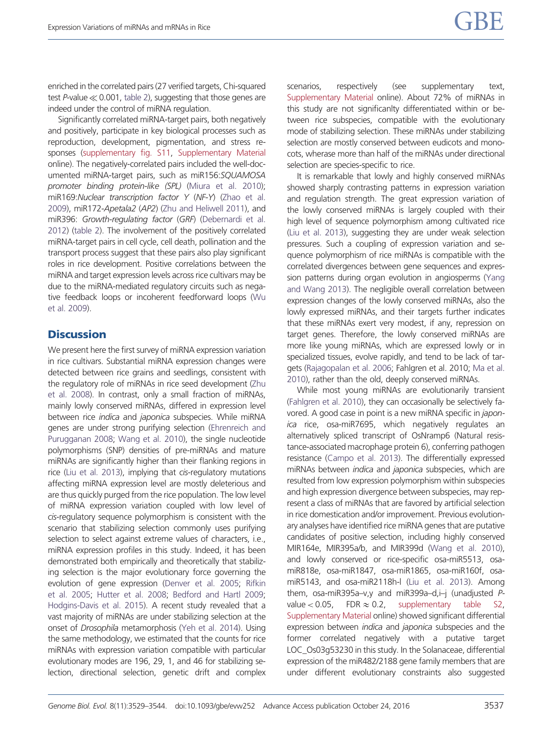enriched in the correlated pairs (27 verified targets, Chi-squared test P-value  $\ll$  0.001, [table 2\)](#page-9-0), suggesting that those genes are indeed under the control of miRNA regulation.

Significantly correlated miRNA-target pairs, both negatively and positively, participate in key biological processes such as reproduction, development, pigmentation, and stress responses ([supplementary fig. S11](http://gbe.oxfordjournals.org/lookup/suppl/doi:10.1093/gbe/evw252/-/DC1), [Supplementary Material](http://gbe.oxfordjournals.org/lookup/suppl/doi:10.1093/gbe/evw252/-/DC1) online). The negatively-correlated pairs included the well-documented miRNA-target pairs, such as miR156:SQUAMOSA promoter binding protein-like (SPL) [\(Miura et al. 2010](#page-14-0)); miR169:Nuclear transcription factor Y (NF-Y) ([Zhao et al.](#page-15-0) [2009\)](#page-15-0), miR172-Apetala2 (AP2) [\(Zhu and Heliwell 2011\)](#page-15-0), and miR396: Growth-regulating factor (GRF) [\(Debernardi et al.](#page-13-0) [2012\)](#page-13-0) [\(table 2\)](#page-9-0). The involvement of the positively correlated miRNA-target pairs in cell cycle, cell death, pollination and the transport process suggest that these pairs also play significant roles in rice development. Positive correlations between the miRNA and target expression levels across rice cultivars may be due to the miRNA-mediated regulatory circuits such as negative feedback loops or incoherent feedforward loops [\(Wu](#page-15-0) [et al. 2009\)](#page-15-0).

# **Discussion**

We present here the first survey of miRNA expression variation in rice cultivars. Substantial miRNA expression changes were detected between rice grains and seedlings, consistent with the regulatory role of miRNAs in rice seed development ([Zhu](#page-15-0) [et al. 2008](#page-15-0)). In contrast, only a small fraction of miRNAs, mainly lowly conserved miRNAs, differed in expression level between rice *indica* and *japonica* subspecies. While miRNA genes are under strong purifying selection [\(Ehrenreich and](#page-13-0) [Purugganan 2008](#page-13-0); [Wang et al. 2010\)](#page-15-0), the single nucleotide polymorphisms (SNP) densities of pre-miRNAs and mature miRNAs are significantly higher than their flanking regions in rice [\(Liu et al. 2013\)](#page-14-0), implying that cis-regulatory mutations affecting miRNA expression level are mostly deleterious and are thus quickly purged from the rice population. The low level of miRNA expression variation coupled with low level of cis-regulatory sequence polymorphism is consistent with the scenario that stabilizing selection commonly uses purifying selection to select against extreme values of characters, i.e., miRNA expression profiles in this study. Indeed, it has been demonstrated both empirically and theoretically that stabilizing selection is the major evolutionary force governing the evolution of gene expression [\(Denver et al. 2005](#page-13-0); [Rifkin](#page-14-0) [et al. 2005;](#page-14-0) [Hutter et al. 2008;](#page-14-0) [Bedford and Hartl 2009;](#page-13-0) [Hodgins-Davis et al. 2015](#page-14-0)). A recent study revealed that a vast majority of miRNAs are under stabilizing selection at the onset of Drosophila metamorphosis [\(Yeh et al. 2014\)](#page-15-0). Using the same methodology, we estimated that the counts for rice miRNAs with expression variation compatible with particular evolutionary modes are 196, 29, 1, and 46 for stabilizing selection, directional selection, genetic drift and complex scenarios, respectively (see supplementary text, [Supplementary Material](http://gbe.oxfordjournals.org/lookup/suppl/doi:10.1093/gbe/evw252/-/DC1) online). About 72% of miRNAs in this study are not significanlty differentiated within or between rice subspecies, compatible with the evolutionary mode of stabilizing selection. These miRNAs under stabilizing selection are mostly conserved between eudicots and monocots, wherase more than half of the miRNAs under directional selection are species-specific to rice.

It is remarkable that lowly and highly conserved miRNAs showed sharply contrasting patterns in expression variation and regulation strength. The great expression variation of the lowly conserved miRNAs is largely coupled with their high level of sequence polymorphism among cultivated rice ([Liu et al. 2013\)](#page-14-0), suggesting they are under weak selection pressures. Such a coupling of expression variation and sequence polymorphism of rice miRNAs is compatible with the correlated divergences between gene sequences and expression patterns during organ evolution in angiosperms ([Yang](#page-15-0) [and Wang 2013\)](#page-15-0). The negligible overall correlation between expression changes of the lowly conserved miRNAs, also the lowly expressed miRNAs, and their targets further indicates that these miRNAs exert very modest, if any, repression on target genes. Therefore, the lowly conserved miRNAs are more like young miRNAs, which are expressed lowly or in specialized tissues, evolve rapidly, and tend to be lack of targets [\(Rajagopalan et al. 2006](#page-14-0); Fahlgren et al. 2010; [Ma et al.](#page-14-0) [2010](#page-14-0)), rather than the old, deeply conserved miRNAs.

While most young miRNAs are evolutionarily transient ([Fahlgren et al. 2010\)](#page-13-0), they can occasionally be selectively favored. A good case in point is a new miRNA specific in japonica rice, osa-miR7695, which negatively regulates an alternatively spliced transcript of OsNramp6 (Natural resistance-associated macrophage protein 6), conferring pathogen resistance [\(Campo et al. 2013\)](#page-13-0). The differentially expressed miRNAs between indica and japonica subspecies, which are resulted from low expression polymorphism within subspecies and high expression divergence between subspecies, may represent a class of miRNAs that are favored by artificial selection in rice domestication and/or improvement. Previous evolutionary analyses have identified rice miRNA genes that are putative candidates of positive selection, including highly conserved MIR164e, MIR395a/b, and MIR399d [\(Wang et al. 2010\)](#page-15-0), and lowly conserved or rice-specific osa-miR5513, osamiR818e, osa-miR1847, osa-miR1865, osa-miR160f, osamiR5143, and osa-miR2118h-l [\(Liu et al. 2013](#page-14-0)). Among them, osa-miR395a–v,y and miR399a–d,i-j (unadjusted  $P$ value < 0.05, FDR  $\approx$  0.2, [supplementary table S2](http://gbe.oxfordjournals.org/lookup/suppl/doi:10.1093/gbe/evw252/-/DC1), [Supplementary Material](http://gbe.oxfordjournals.org/lookup/suppl/doi:10.1093/gbe/evw252/-/DC1) online) showed significant differential expression between indica and japonica subspecies and the former correlated negatively with a putative target LOC\_Os03g53230 in this study. In the Solanaceae, differential expression of the miR482/2188 gene family members that are under different evolutionary constraints also suggested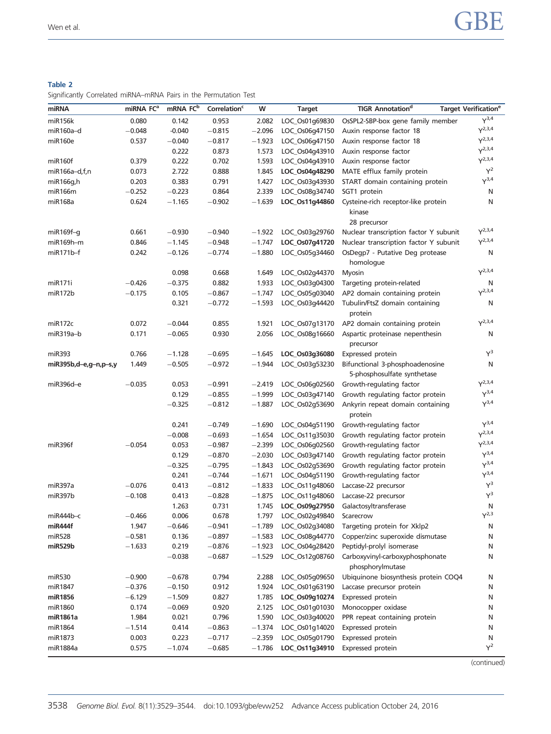## <span id="page-9-0"></span>Table 2

Significantly Correlated miRNA–mRNA Pairs in the Permutation Test

| miRNA                   | miRNA FC <sup>a</sup> | mRNA FC <sup>b</sup> | Correlation <sup>c</sup> | w        | <b>Target</b>           | <b>TIGR Annotationd</b>                                        | <b>Target Verification<sup>e</sup></b> |
|-------------------------|-----------------------|----------------------|--------------------------|----------|-------------------------|----------------------------------------------------------------|----------------------------------------|
| miR156k                 | 0.080                 | 0.142                | 0.953                    | 2.082    | LOC_Os01g69830          | OsSPL2-SBP-box gene family member                              | $Y^{3,4}$                              |
| miR160a-d               | $-0.048$              | $-0.040$             | $-0.815$                 | $-2.096$ | LOC_Os06q47150          | Auxin response factor 18                                       | $Y^{2,3,4}$                            |
| miR160e                 | 0.537                 | $-0.040$             | $-0.817$                 | $-1.923$ | LOC_Os06q47150          | Auxin response factor 18                                       | $Y^{2,3,4}$                            |
|                         |                       | 0.222                | 0.873                    | 1.573    | LOC_Os04q43910          | Auxin response factor                                          | $Y^{2,3,4}$                            |
| miR160f                 | 0.379                 | 0.222                | 0.702                    | 1.593    | LOC Os04q43910          | Auxin response factor                                          | $Y^{2,3,4}$                            |
| $miR166a-d,f,n$         | 0.073                 | 2.722                | 0.888                    | 1.845    | LOC_Os04g48290          | MATE efflux family protein                                     | $Y^2$                                  |
| miR166g,h               | 0.203                 | 0.383                | 0.791                    | 1.427    | LOC_Os03g43930          | START domain containing protein                                | $Y^{3,4}$                              |
| miR166m                 | $-0.252$              | $-0.223$             | 0.864                    | 2.339    | LOC_Os08g34740          | SGT1 protein                                                   | N                                      |
| miR168a                 | 0.624                 | $-1.165$             | $-0.902$                 | $-1.639$ | LOC_Os11g44860          | Cysteine-rich receptor-like protein                            | N                                      |
|                         |                       |                      |                          |          |                         | kinase                                                         |                                        |
|                         |                       |                      |                          |          |                         | 28 precursor                                                   |                                        |
| $miR169f-q$             | 0.661                 | $-0.930$             | $-0.940$                 | $-1.922$ | LOC_Os03g29760          | Nuclear transcription factor Y subunit                         | $Y^{2,3,4}$                            |
| $miR169h-m$             | 0.846                 | $-1.145$             | $-0.948$                 | $-1.747$ | LOC_Os07g41720          | Nuclear transcription factor Y subunit                         | $Y^{2,3,4}$                            |
| $miR171b-f$             | 0.242                 | $-0.126$             | $-0.774$                 | $-1.880$ | LOC_Os05q34460          | OsDegp7 - Putative Deg protease                                | N                                      |
|                         |                       |                      |                          |          |                         | homologue                                                      |                                        |
|                         |                       | 0.098                | 0.668                    | 1.649    | LOC_Os02g44370          | <b>Myosin</b>                                                  | $Y^{2,3,4}$                            |
| miR171i                 | $-0.426$              | $-0.375$             | 0.882                    | 1.933    | LOC_Os03g04300          | Targeting protein-related                                      | N                                      |
| miR172b                 | $-0.175$              | 0.105                | $-0.867$                 | $-1.747$ | LOC_Os05q03040          | AP2 domain containing protein                                  | $Y^{2,3,4}$                            |
|                         |                       | 0.321                | $-0.772$                 | $-1.593$ | LOC_Os03g44420          | Tubulin/FtsZ domain containing<br>protein                      | N                                      |
| miR <sub>172c</sub>     | 0.072                 | $-0.044$             | 0.855                    | 1.921    | LOC_Os07g13170          | AP2 domain containing protein                                  | $Y^{2,3,4}$                            |
| miR319a-b               | 0.171                 | $-0.065$             | 0.930                    | 2.056    | LOC_Os08q16660          | Aspartic proteinase nepenthesin                                | N                                      |
|                         |                       |                      |                          |          |                         | precursor                                                      |                                        |
| miR393                  | 0.766                 | $-1.128$             | $-0.695$                 | $-1.645$ | LOC_Os03g36080          | Expressed protein                                              | $Y^3$                                  |
| $miR395b,d-e,q-n,p-s,y$ | 1.449                 | $-0.505$             | $-0.972$                 | $-1.944$ | LOC_Os03g53230          | Bifunctional 3-phosphoadenosine<br>5-phosphosulfate synthetase | N                                      |
| miR396d-e               | $-0.035$              | 0.053                | $-0.991$                 | $-2.419$ | LOC_Os06g02560          | Growth-regulating factor                                       | $Y^{2,3,4}$                            |
|                         |                       | 0.129                | $-0.855$                 | $-1.999$ | LOC_Os03q47140          | Growth regulating factor protein                               | $Y^{3,4}$                              |
|                         |                       | $-0.325$             | $-0.812$                 | $-1.887$ | LOC_Os02q53690          | Ankyrin repeat domain containing                               | $Y^{3,4}$                              |
|                         |                       |                      |                          |          |                         | protein                                                        |                                        |
|                         |                       | 0.241                | $-0.749$                 | $-1.690$ | LOC_Os04g51190          | Growth-regulating factor                                       | $Y^{3,4}$                              |
|                         |                       | $-0.008$             | $-0.693$                 | $-1.654$ | LOC_Os11q35030          | Growth regulating factor protein                               | $Y^{2,3,4}$                            |
| miR396f                 | $-0.054$              | 0.053                | $-0.987$                 | $-2.399$ | LOC_Os06g02560          | Growth-regulating factor                                       | $Y^{2,3,4}$                            |
|                         |                       | 0.129                | $-0.870$                 | $-2.030$ | LOC_Os03g47140          | Growth regulating factor protein                               | $Y^{3,4}$                              |
|                         |                       | $-0.325$             | $-0.795$                 | $-1.843$ | LOC_Os02q53690          | Growth regulating factor protein                               | $Y^{3,4}$                              |
|                         |                       | 0.241                | $-0.744$                 | $-1.671$ | LOC_Os04g51190          | Growth-regulating factor                                       | $\mathsf{Y}^{3,4}$                     |
| miR397a                 | $-0.076$              | 0.413                | $-0.812$                 | $-1.833$ | LOC_Os11g48060          | Laccase-22 precursor                                           | $Y^3$                                  |
| miR397b                 | $-0.108$              | 0.413                | $-0.828$                 | $-1.875$ | LOC_Os11g48060          | Laccase-22 precursor                                           | $Y^3$                                  |
|                         |                       | 1.263                | 0.731                    | 1.745    | LOC_Os09g27950          | Galactosyltransferase                                          | N                                      |
| miR444b-c               | $-0.466$              | 0.006                | 0.678                    |          | 1.797 LOC_Os02g49840    | Scarecrow                                                      | $V^{2,3}$                              |
| miR444f                 | 1.947                 | $-0.646$             | $-0.941$                 |          | $-1.789$ LOC_Os02g34080 | Targeting protein for Xklp2                                    | N                                      |
| miR528                  | $-0.581$              | 0.136                | $-0.897$                 | $-1.583$ | LOC_Os08q44770          | Copper/zinc superoxide dismutase                               | N                                      |
| miR529b                 | $-1.633$              | 0.219                | $-0.876$                 | $-1.923$ | LOC_Os04q28420          | Peptidyl-prolyl isomerase                                      | N                                      |
|                         |                       | $-0.038$             | $-0.687$                 | $-1.529$ | LOC_Os12q08760          | Carboxyvinyl-carboxyphosphonate<br>phosphorylmutase            | N                                      |
| miR530                  | $-0.900$              | $-0.678$             | 0.794                    | 2.288    | LOC_Os05q09650          | Ubiquinone biosynthesis protein COQ4                           | N                                      |
| miR1847                 | $-0.376$              | $-0.150$             | 0.912                    | 1.924    | LOC_Os01g63190          | Laccase precursor protein                                      | N                                      |
| miR1856                 | $-6.129$              | $-1.509$             | 0.827                    | 1.785    | LOC_Os09g10274          | Expressed protein                                              | N                                      |
| miR1860                 | 0.174                 | $-0.069$             | 0.920                    | 2.125    | LOC_Os01q01030          | Monocopper oxidase                                             | N                                      |
| miR1861a                | 1.984                 | 0.021                | 0.796                    | 1.590    | LOC_Os03g40020          | PPR repeat containing protein                                  | N                                      |
| miR1864                 | $-1.514$              | 0.414                | $-0.863$                 | $-1.374$ | LOC_Os01q14020          | Expressed protein                                              | N                                      |
| miR1873                 | 0.003                 | 0.223                | $-0.717$                 | $-2.359$ | LOC_Os05g01790          | Expressed protein                                              | N                                      |
| miR1884a                | 0.575                 | $-1.074$             | $-0.685$                 | $-1.786$ | LOC_Os11g34910          | Expressed protein                                              | $Y^2$                                  |
|                         |                       |                      |                          |          |                         |                                                                |                                        |

(continued)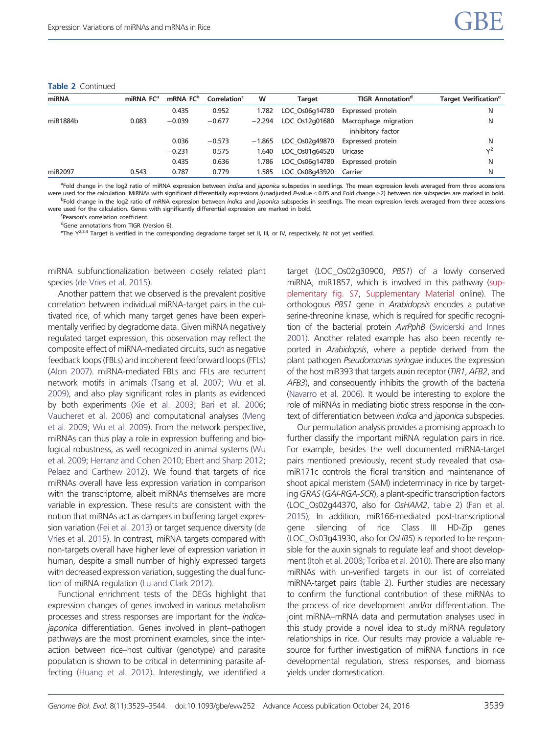| miRNA    | miRNA FC <sup>a</sup> | mRNA FC <sup>b</sup> | Correlation <sup>c</sup> | W        | Target         | <b>TIGR Annotation<sup>a</sup></b>        | <b>Target Verification<sup>e</sup></b> |
|----------|-----------------------|----------------------|--------------------------|----------|----------------|-------------------------------------------|----------------------------------------|
|          |                       | 0.435                | 0.952                    | 1.782    | LOC Os06q14780 | Expressed protein                         | N                                      |
| miR1884b | 0.083                 | $-0.039$             | $-0.677$                 | $-2.294$ | LOC Os12q01680 | Macrophage migration<br>inhibitory factor | N                                      |
|          |                       | 0.036                | $-0.573$                 | $-1.865$ | LOC Os02q49870 | Expressed protein                         | N                                      |
|          |                       | $-0.231$             | 0.575                    | 1.640    | LOC Os01q64520 | Uricase                                   | v <sup>2</sup>                         |
|          |                       | 0.435                | 0.636                    | 1.786    | LOC Os06q14780 | Expressed protein                         | N                                      |
| miR2097  | 0.543                 | 0.787                | 0.779                    | .585     | LOC Os08q43920 | Carrier                                   | N                                      |

<sup>a</sup>Fold change in the log2 ratio of miRNA expression between *indica* and japonica subspecies in seedlings. The mean expression levels averaged from three accessions were used for the calculation. MiRNAs with significant differentially expressions (unadjusted P-value ≤ 0.05 and Fold change ≥2) between rice subspecies are marked in bold. <sup>b</sup>Fold change in the log2 ratio of mRNA expression between *indica* and *japonica s*ubspecies in seedlings. The mean expression levels averaged from three accessions

were used for the calculation. Genes with significantly differential expression are marked in bold.

'Pearson's correlation coefficient.

dGene annotations from TIGR (Version 6).

<sup>e</sup>The Y<sup>2,3,4</sup> Target is verified in the corresponding degradome target set II, III, or IV, respectively; N: not yet verified.

miRNA subfunctionalization between closely related plant species [\(de Vries et al. 2015\)](#page-13-0).

Another pattern that we observed is the prevalent positive correlation between individual miRNA-target pairs in the cultivated rice, of which many target genes have been experimentally verified by degradome data. Given miRNA negatively regulated target expression, this observation may reflect the composite effect of miRNA-mediated circuits, such as negative feedback loops (FBLs) and incoherent feedforward loops (FFLs) [\(Alon 2007\)](#page-13-0). miRNA-mediated FBLs and FFLs are recurrent network motifs in animals [\(Tsang et al. 2007;](#page-15-0) [Wu et al.](#page-15-0) [2009\)](#page-15-0), and also play significant roles in plants as evidenced by both experiments ([Xie et al. 2003;](#page-15-0) [Bari et al. 2006;](#page-13-0) [Vaucheret et al. 2006\)](#page-15-0) and computational analyses [\(Meng](#page-14-0) [et al. 2009;](#page-14-0) [Wu et al. 2009\)](#page-15-0). From the network perspective, miRNAs can thus play a role in expression buffering and biological robustness, as well recognized in animal systems [\(Wu](#page-15-0) [et al. 2009](#page-15-0); [Herranz and Cohen 2010;](#page-14-0) [Ebert and Sharp 2012;](#page-13-0) [Pelaez and Carthew 2012\)](#page-14-0). We found that targets of rice miRNAs overall have less expression variation in comparison with the transcriptome, albeit miRNAs themselves are more variable in expression. These results are consistent with the notion that miRNAs act as dampers in buffering target expression variation ([Fei et al. 2013](#page-14-0)) or target sequence diversity ([de](#page-13-0) [Vries et al. 2015](#page-13-0)). In contrast, miRNA targets compared with non-targets overall have higher level of expression variation in human, despite a small number of highly expressed targets with decreased expression variation, suggesting the dual function of miRNA regulation [\(Lu and Clark 2012](#page-14-0)).

Functional enrichment tests of the DEGs highlight that expression changes of genes involved in various metabolism processes and stress responses are important for the indicajaponica differentiation. Genes involved in plant–pathogen pathways are the most prominent examples, since the interaction between rice–host cultivar (genotype) and parasite population is shown to be critical in determining parasite affecting [\(Huang et al. 2012](#page-14-0)). Interestingly, we identified a target (LOC\_Os02g30900, PBS1) of a lowly conserved miRNA, miR1857, which is involved in this pathway [\(sup](http://gbe.oxfordjournals.org/lookup/suppl/doi:10.1093/gbe/evw252/-/DC1)[plementary fig. S7](http://gbe.oxfordjournals.org/lookup/suppl/doi:10.1093/gbe/evw252/-/DC1), [Supplementary Material](http://gbe.oxfordjournals.org/lookup/suppl/doi:10.1093/gbe/evw252/-/DC1) online). The orthologous PBS1 gene in Arabidopsis encodes a putative serine-threonine kinase, which is required for specific recognition of the bacterial protein AvrPphB [\(Swiderski and Innes](#page-15-0) [2001](#page-15-0)). Another related example has also been recently reported in Arabidopsis, where a peptide derived from the plant pathogen Pseudomonas syringae induces the expression of the host miR393 that targets auxin receptor (TIR1, AFB2, and AFB3), and consequently inhibits the growth of the bacteria ([Navarro et al. 2006](#page-14-0)). It would be interesting to explore the role of miRNAs in mediating biotic stress response in the context of differentiation between indica and japonica subspecies.

Our permutation analysis provides a promising approach to further classify the important miRNA regulation pairs in rice. For example, besides the well documented miRNA-target pairs mentioned previously, recent study revealed that osamiR171c controls the floral transition and maintenance of shoot apical meristem (SAM) indeterminacy in rice by targeting GRAS (GAI-RGA-SCR), a plant-specific transcription factors (LOC\_Os02g44370, also for OsHAM2, [table 2](#page-9-0)) ([Fan et al.](#page-13-0) [2015](#page-13-0)); In addition, miR166-mediated post-transcriptional gene silencing of rice Class III HD-Zip genes (LOC\_Os03g43930, also for OsHB5) is reported to be responsible for the auxin signals to regulate leaf and shoot development [\(Itoh et al. 2008](#page-14-0); [Toriba et al. 2010](#page-15-0)). There are also many miRNAs with un-verified targets in our list of correlated miRNA-target pairs [\(table 2\)](#page-9-0). Further studies are necessary to confirm the functional contribution of these miRNAs to the process of rice development and/or differentiation. The joint miRNA–mRNA data and permutation analyses used in this study provide a novel idea to study miRNA regulatory relationships in rice. Our results may provide a valuable resource for further investigation of miRNA functions in rice developmental regulation, stress responses, and biomass yields under domestication.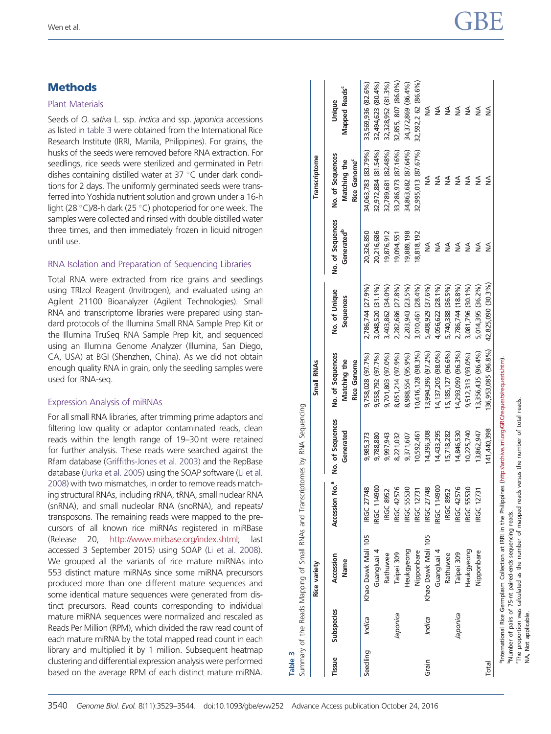# **Methods**

#### Plant Materials

Seeds of O. sativa L. ssp. indica and ssp. japonica accessions as listed in table 3 were obtained from the International Rice Research Institute (IRRI, Manila, Philippines). For grains, the husks of the seeds were removed before RNA extraction. For seedlings, rice seeds were sterilized and germinated in Petri dishes containing distilled water at  $37^{\circ}$ C under dark conditions for 2 days. The uniformly germinated seeds were transferred into Yoshida nutrient solution and grown under a 16-h light (28 $\degree$ C)/8-h dark (25 $\degree$ C) photoperiod for one week. The samples were collected and rinsed with double distilled water three times, and then immediately frozen in liquid nitrogen until use.

## RNA Isolation and Preparation of Sequencing Libraries

Total RNA were extracted from rice grains and seedlings using TRIzol Reagent (Invitrogen), and evaluated using an Agilent 21100 Bioanalyzer (Agilent Technologies). Small RNA and transcriptome libraries were prepared using standard protocols of the Illumina Small RNA Sample Prep Kit or the Illumina TruSeq RNA Sample Prep kit, and sequenced using an Illumina Genome Analyzer (Illumina, San Diego, CA, USA) at BGI (Shenzhen, China). As we did not obtain enough quality RNA in grain, only the seedling samples were used for RNA-seq.

#### Expression Analysis of miRNAs

For all small RNA libraries, after trimming prime adaptors and filtering low quality or adaptor contaminated reads, clean reads within the length range of 19–30 nt were retained for further analysis. These reads were searched against the Rfam database ([Griffiths-Jones et al. 2003](#page-14-0)) and the RepBase database [\(Jurka et al. 2005\)](#page-14-0) using the SOAP software ([Li et al.](#page-14-0) [2008\)](#page-14-0) with two mismatches, in order to remove reads matching structural RNAs, including rRNA, tRNA, small nuclear RNA (snRNA), and small nucleolar RNA (snoRNA), and repeats/ transposons. The remaining reads were mapped to the precursors of all known rice miRNAs registered in miRBase (Release 20, <http://www.mirbase.org/index.shtml>; last accessed 3 September 2015) using SOAP [\(Li et al. 2008](#page-14-0)). We grouped all the variants of rice mature miRNAs into 553 distinct mature miRNAs since some miRNA precursors produced more than one different mature sequences and some identical mature sequences were generated from distinct precursors. Read counts corresponding to individual mature miRNA sequences were normalized and rescaled as Reads Per Million (RPM), which divided the raw read count of each mature miRNA by the total mapped read count in each library and multiplied it by 1 million. Subsequent heatmap clustering and differential expression analysis were performed based on the average RPM of each distinct mature miRNA.

|          |            | <b>Rice variety</b>               |                            |                               | Small RNAs                                             |                                        |                                            | Transcriptome                                                |                                          |
|----------|------------|-----------------------------------|----------------------------|-------------------------------|--------------------------------------------------------|----------------------------------------|--------------------------------------------|--------------------------------------------------------------|------------------------------------------|
| Tissue   | Subspecies | Accession<br>Name                 | Accession No. <sup>a</sup> | No. of Sequences<br>Generated | No. of Sequences<br>Matching the<br><b>Rice Genome</b> | No. of Unique<br>Sequences             | No. of Sequences<br>Generated <sup>b</sup> | No. of Sequences<br>Rice Genome <sup>c</sup><br>Matching the | Mapped Reads <sup>c</sup><br>Unique      |
| Seedling | Indica     | Khao Dawk Mali 105<br>Guangluai 4 | RGC 114900<br>IRGC 27748   | 9,985,373<br>9,788,880        | 9,758,028 (97.7%)<br>9,558,792 (97.7%)                 | 2,786,744 (27.9%)<br>3,048,520 (31.1%) | 20,326,850<br>20,216,686                   | 32,972,884 (81.54%)<br>34,063,783 (83.79%)                   | 32,494,623 (80.4%)<br>33,569,936 (82.6%) |
|          |            | Rathuwee                          | <b>IRGC 8952</b>           | 9,997,943                     | 9,701,803 (97.0%)                                      | 3,403,862 (34.0%)                      | 19,876,912                                 | 32,789,681 (82.48%)                                          | 32,328,952 (81.3%)                       |
|          | Japonica   | Taipei 309                        | IRGC 42576                 | 8,221,032                     | 8,051,214 (97.9%)                                      | 2,282,686 (27.8%)                      | 19,094,551                                 | 33,286,973 (87.16%)                                          | 32,855, 807 (86.0%)                      |
|          |            | Heukgyeong                        | <b>IRGC 55530</b>          | 9,371,607                     | 8,988,554 (95.9%)                                      | 2,203,943 (23.5%)                      | 19,889,198                                 | 34,863,682 (87.64%)                                          | 34,372,869 (86.4%)                       |
|          |            | Nipponbare                        | <b>IRGC 12731</b>          | 10,592,461                    | 10,416,128 (98.3%)                                     | 3,010,461 (28.4%)                      | 18,818,192                                 | 32,995,013 (87.67%)                                          | 32,592,2 62 (86.6%)                      |
| Grain    | Indica     | Khao Dawk Mali 105                | IRGC 27748                 | 14,396,308                    | 13,994,396 (97.2%)                                     | 5,408,929 (37.6%)                      | ≸                                          | ≸                                                            | ≸                                        |
|          |            | Guangluai 4                       | RGC 114900                 | 14,433,295                    | 14, 137, 205 (98.0%)                                   | 4,056,622 (28.1%)                      | ≸                                          | ≸                                                            | ≸                                        |
|          |            | Rathuwee                          | <b>IRGC 8952</b>           | 5,718,282                     | 15, 185, 127 (96.6%)                                   | 5,740,388 (36.5%)                      | ≸                                          | $\frac{4}{2}$                                                | ≸                                        |
|          | Japonica   | Taipei 309                        | IRGC 42576                 | 14,846,530                    | 14,293,090 (96.3%)                                     | 2,786,744 (18.8%)                      | ≸                                          | ≸                                                            | ₹                                        |
|          |            | Heukgyeong                        | <b>IRGC 55530</b>          | 10,225,740                    | 9,512,313 (93.0%)                                      | 3,081,796 (30.1%)                      | ≸                                          | $\frac{1}{2}$                                                | ₹                                        |
|          |            | Nipponbare                        | <b>RGC 12731</b>           | 13,862,947                    | 13,356,435 (96.4%)                                     | 5,014,395 (36.2%)                      | ≸                                          | $\frac{1}{2}$                                                | ≸                                        |
| Total    |            |                                   |                            | 41,440,398                    | 36,953,085 (96.8%)                                     | 42,825,090 (30.3%)                     | ≸                                          | ≸                                                            | ≸                                        |

cThe proportion was calculated as the number of mapped reads versus the number of total reads.

The proportion was calculated as the number of mapped reads versus the number of total reads

Number of pairs of 75-nt paired-ends sequencing reads.

NA, Not applicable.

 $\vec{z}$ 

Not applicable

Table 3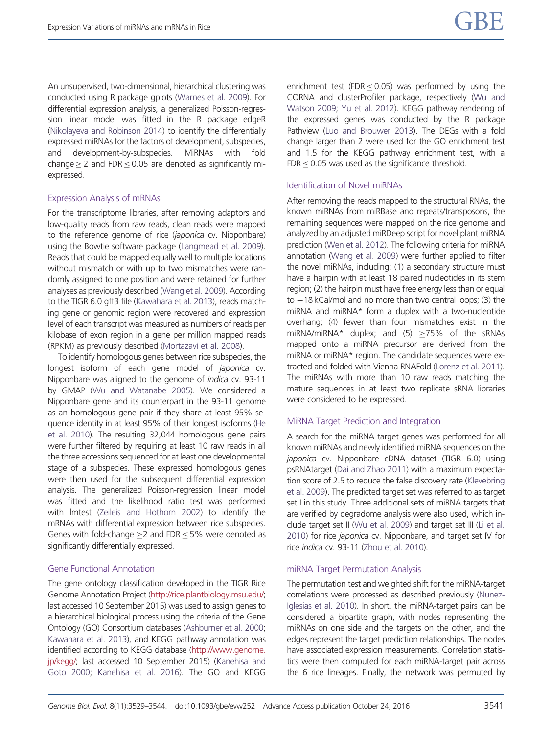An unsupervised, two-dimensional, hierarchical clustering was conducted using R package gplots [\(Warnes et al. 2009](#page-15-0)). For differential expression analysis, a generalized Poisson-regression linear model was fitted in the R package edgeR [\(Nikolayeva and Robinson 2014\)](#page-14-0) to identify the differentially expressed miRNAs for the factors of development, subspecies, and development-by-subspecies. MiRNAs with fold change  $\geq$  2 and FDR  $\leq$  0.05 are denoted as significantly miexpressed.

#### Expression Analysis of mRNAs

For the transcriptome libraries, after removing adaptors and low-quality reads from raw reads, clean reads were mapped to the reference genome of rice (japonica cv. Nipponbare) using the Bowtie software package ([Langmead et al. 2009](#page-14-0)). Reads that could be mapped equally well to multiple locations without mismatch or with up to two mismatches were randomly assigned to one position and were retained for further analyses as previously described ([Wang et al. 2009](#page-15-0)). According to the TIGR 6.0 gff3 file [\(Kawahara et al. 2013\)](#page-14-0), reads matching gene or genomic region were recovered and expression level of each transcript was measured as numbers of reads per kilobase of exon region in a gene per million mapped reads (RPKM) as previously described [\(Mortazavi et al. 2008](#page-14-0)).

To identify homologous genes between rice subspecies, the longest isoform of each gene model of japonica cv. Nipponbare was aligned to the genome of indica cv. 93-11 by GMAP [\(Wu and Watanabe 2005\)](#page-15-0). We considered a Nipponbare gene and its counterpart in the 93-11 genome as an homologous gene pair if they share at least 95% sequence identity in at least 95% of their longest isoforms ([He](#page-14-0) [et al. 2010\)](#page-14-0). The resulting 32,044 homologous gene pairs were further filtered by requiring at least 10 raw reads in all the three accessions sequenced for at least one developmental stage of a subspecies. These expressed homologous genes were then used for the subsequent differential expression analysis. The generalized Poisson-regression linear model was fitted and the likelihood ratio test was performed with lmtest ([Zeileis and Hothorn 2002\)](#page-15-0) to identify the mRNAs with differential expression between rice subspecies. Genes with fold-change  $\geq$  and FDR  $\leq$  5% were denoted as significantly differentially expressed.

#### Gene Functional Annotation

The gene ontology classification developed in the TIGR Rice Genome Annotation Project [\(http://rice.plantbiology.msu.edu/;](http://rice.plantbiology.msu.edu/) last accessed 10 September 2015) was used to assign genes to a hierarchical biological process using the criteria of the Gene Ontology (GO) Consortium databases [\(Ashburner et al. 2000;](#page-13-0) [Kawahara et al. 2013](#page-14-0)), and KEGG pathway annotation was identified according to KEGG database [\(http://www.genome.](http://www.genome.jp/kegg/) [jp/kegg/;](http://www.genome.jp/kegg/) last accessed 10 September 2015) [\(Kanehisa and](#page-14-0) [Goto 2000](#page-14-0); [Kanehisa et al. 2016\)](#page-14-0). The GO and KEGG enrichment test (FDR  $\leq$  0.05) was performed by using the CORNA and clusterProfiler package, respectively [\(Wu and](#page-15-0) [Watson 2009](#page-15-0); [Yu et al. 2012](#page-15-0)). KEGG pathway rendering of the expressed genes was conducted by the R package Pathview [\(Luo and Brouwer 2013\)](#page-14-0). The DEGs with a fold change larger than 2 were used for the GO enrichment test and 1.5 for the KEGG pathway enrichment test, with a  $FDR < 0.05$  was used as the significance threshold.

#### Identification of Novel miRNAs

After removing the reads mapped to the structural RNAs, the known miRNAs from miRBase and repeats/transposons, the remaining sequences were mapped on the rice genome and analyzed by an adjusted miRDeep script for novel plant miRNA prediction ([Wen et al. 2012](#page-15-0)). The following criteria for miRNA annotation [\(Wang et al. 2009\)](#page-15-0) were further applied to filter the novel miRNAs, including: (1) a secondary structure must have a hairpin with at least 18 paired nucleotides in its stem region; (2) the hairpin must have free energy less than or equal to  $-18$  kCal/mol and no more than two central loops; (3) the miRNA and miRNA\* form a duplex with a two-nucleotide overhang; (4) fewer than four mismatches exist in the miRNA/miRNA\* duplex; and (5)  $\geq$ 75% of the sRNAs mapped onto a miRNA precursor are derived from the miRNA or miRNA\* region. The candidate sequences were extracted and folded with Vienna RNAFold [\(Lorenz et al. 2011\)](#page-14-0). The miRNAs with more than 10 raw reads matching the mature sequences in at least two replicate sRNA libraries were considered to be expressed.

#### MiRNA Target Prediction and Integration

A search for the miRNA target genes was performed for all known miRNAs and newly identified miRNA sequences on the japonica cv. Nipponbare cDNA dataset (TIGR 6.0) using psRNAtarget [\(Dai and Zhao 2011](#page-13-0)) with a maximum expectation score of 2.5 to reduce the false discovery rate [\(Klevebring](#page-14-0) [et al. 2009](#page-14-0)). The predicted target set was referred to as target set I in this study. Three additional sets of miRNA targets that are verified by degradome analysis were also used, which include target set II [\(Wu et al. 2009\)](#page-15-0) and target set III [\(Li et al.](#page-14-0) [2010](#page-14-0)) for rice japonica cv. Nipponbare, and target set IV for rice indica cv. 93-11 [\(Zhou et al. 2010](#page-15-0)).

#### miRNA Target Permutation Analysis

The permutation test and weighted shift for the miRNA-target correlations were processed as described previously [\(Nunez-](#page-14-0)[Iglesias et al. 2010](#page-14-0)). In short, the miRNA-target pairs can be considered a bipartite graph, with nodes representing the miRNAs on one side and the targets on the other, and the edges represent the target prediction relationships. The nodes have associated expression measurements. Correlation statistics were then computed for each miRNA-target pair across the 6 rice lineages. Finally, the network was permuted by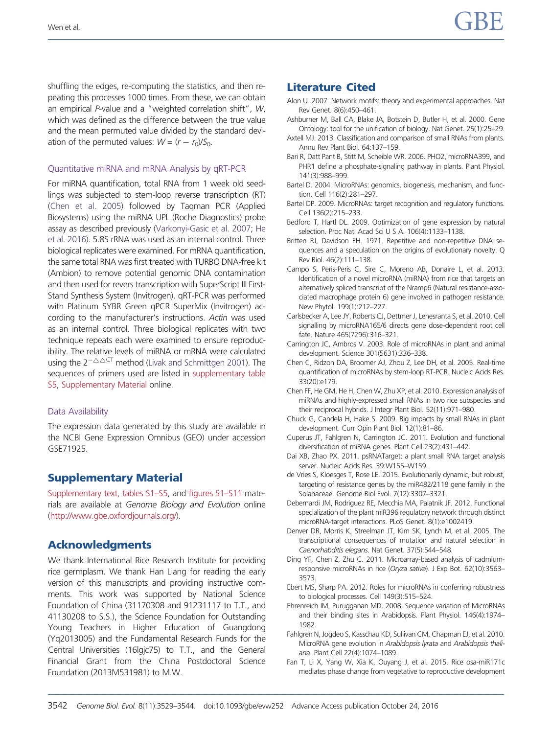<span id="page-13-0"></span>shuffling the edges, re-computing the statistics, and then repeating this processes 1000 times. From these, we can obtain an empirical P-value and a "weighted correlation shift", W, which was defined as the difference between the true value and the mean permuted value divided by the standard deviation of the permuted values:  $W = (r - r_0)/S_0$ .

#### Quantitative miRNA and mRNA Analysis by qRT-PCR

For miRNA quantification, total RNA from 1 week old seedlings was subjected to stem-loop reverse transcription (RT) (Chen et al. 2005) followed by Taqman PCR (Applied Biosystems) using the miRNA UPL (Roche Diagnostics) probe assay as described previously ([Varkonyi-Gasic et al. 2007](#page-15-0); [He](#page-14-0) [et al. 2016](#page-14-0)). 5.8S rRNA was used as an internal control. Three biological replicates were examined. For mRNA quantification, the same total RNA was first treated with TURBO DNA-free kit (Ambion) to remove potential genomic DNA contamination and then used for revers transcription with SuperScript III First-Stand Synthesis System (Invitrogen). qRT-PCR was performed with Platinum SYBR Green qPCR SuperMix (Invitrogen) according to the manufacturer's instructions. Actin was used as an internal control. Three biological replicates with two technique repeats each were examined to ensure reproducibility. The relative levels of miRNA or mRNA were calculated using the  $2^{-\Delta\Delta CT}$  method [\(Livak and Schmittgen 2001\)](#page-14-0). The sequences of primers used are listed in [supplementary table](http://gbe.oxfordjournals.org/lookup/suppl/doi:10.1093/gbe/evw252/-/DC1) [S5](http://gbe.oxfordjournals.org/lookup/suppl/doi:10.1093/gbe/evw252/-/DC1), [Supplementary Material](http://gbe.oxfordjournals.org/lookup/suppl/doi:10.1093/gbe/evw252/-/DC1) online.

#### Data Availability

The expression data generated by this study are available in the NCBI Gene Expression Omnibus (GEO) under accession GSE71925.

# Supplementary Material

[Supplementary text, tables S1–S5](http://gbe.oxfordjournals.org/lookup/suppl/doi:10.1093/gbe/evw252/-/DC1), and [figures S1–S11](http://gbe.oxfordjournals.org/lookup/suppl/doi:10.1093/gbe/evw252/-/DC1) materials are available at Genome Biology and Evolution online [\(http://www.gbe.oxfordjournals.org/](http://www.gbe.oxfordjournals.org/)).

# Acknowledgments

We thank International Rice Research Institute for providing rice germplasm. We thank Han Liang for reading the early version of this manuscripts and providing instructive comments. This work was supported by National Science Foundation of China (31170308 and 91231117 to T.T., and 41130208 to S.S.), the Science Foundation for Outstanding Young Teachers in Higher Education of Guangdong (Yq2013005) and the Fundamental Research Funds for the Central Universities (16lgjc75) to T.T., and the General Financial Grant from the China Postdoctoral Science Foundation (2013M531981) to M.W.

## Literature Cited

- Alon U. 2007. Network motifs: theory and experimental approaches. Nat Rev Genet. 8(6):450–461.
- Ashburner M, Ball CA, Blake JA, Botstein D, Butler H, et al. 2000. Gene Ontology: tool for the unification of biology. Nat Genet. 25(1):25–29.
- Axtell MJ. 2013. Classification and comparison of small RNAs from plants. Annu Rev Plant Biol. 64:137–159.
- Bari R, Datt Pant B, Stitt M, Scheible WR. 2006. PHO2, microRNA399, and PHR1 define a phosphate-signaling pathway in plants. Plant Physiol. 141(3):988–999.
- Bartel D. 2004. MicroRNAs: genomics, biogenesis, mechanism, and function. Cell 116(2):281–297.
- Bartel DP. 2009. MicroRNAs: target recognition and regulatory functions. Cell 136(2):215–233.
- Bedford T, Hartl DL. 2009. Optimization of gene expression by natural selection. Proc Natl Acad Sci U S A. 106(4):1133–1138.
- Britten RJ, Davidson EH. 1971. Repetitive and non-repetitive DNA sequences and a speculation on the origins of evolutionary novelty. Q Rev Biol. 46(2):111–138.
- Campo S, Peris-Peris C, Sire C, Moreno AB, Donaire L, et al. 2013. Identification of a novel microRNA (miRNA) from rice that targets an alternatively spliced transcript of the Nramp6 (Natural resistance-associated macrophage protein 6) gene involved in pathogen resistance. New Phytol. 199(1):212–227.
- Carlsbecker A, Lee JY, Roberts CJ, Dettmer J, Lehesranta S, et al. 2010. Cell signalling by microRNA165/6 directs gene dose-dependent root cell fate. Nature 465(7296):316–321.
- Carrington JC, Ambros V. 2003. Role of microRNAs in plant and animal development. Science 301(5631):336–338.
- Chen C, Ridzon DA, Broomer AJ, Zhou Z, Lee DH, et al. 2005. Real-time quantification of microRNAs by stem-loop RT-PCR. Nucleic Acids Res. 33(20):e179.
- Chen FF, He GM, He H, Chen W, Zhu XP, et al. 2010. Expression analysis of miRNAs and highly-expressed small RNAs in two rice subspecies and their reciprocal hybrids. J Integr Plant Biol. 52(11):971–980.
- Chuck G, Candela H, Hake S. 2009. Big impacts by small RNAs in plant development. Curr Opin Plant Biol. 12(1):81–86.
- Cuperus JT, Fahlgren N, Carrington JC. 2011. Evolution and functional diversification of miRNA genes. Plant Cell 23(2):431–442.
- Dai XB, Zhao PX. 2011. psRNATarget: a plant small RNA target analysis server. Nucleic Acids Res. 39:W155–W159.
- de Vries S, Kloesges T, Rose LE. 2015. Evolutionarily dynamic, but robust, targeting of resistance genes by the miR482/2118 gene family in the Solanaceae. Genome Biol Evol. 7(12):3307–3321.
- Debernardi JM, Rodriguez RE, Mecchia MA, Palatnik JF. 2012. Functional specialization of the plant miR396 regulatory network through distinct microRNA-target interactions. PLoS Genet. 8(1):e1002419.
- Denver DR, Morris K, Streelman JT, Kim SK, Lynch M, et al. 2005. The transcriptional consequences of mutation and natural selection in Caenorhabditis elegans. Nat Genet. 37(5):544–548.
- Ding YF, Chen Z, Zhu C. 2011. Microarray-based analysis of cadmiumresponsive microRNAs in rice (Oryza sativa). J Exp Bot. 62(10):3563– 3573.
- Ebert MS, Sharp PA. 2012. Roles for microRNAs in conferring robustness to biological processes. Cell 149(3):515–524.
- Ehrenreich IM, Purugganan MD. 2008. Sequence variation of MicroRNAs and their binding sites in Arabidopsis. Plant Physiol. 146(4):1974– 1982.
- Fahlgren N, Jogdeo S, Kasschau KD, Sullivan CM, Chapman EJ, et al. 2010. MicroRNA gene evolution in Arabidopsis lyrata and Arabidopsis thaliana. Plant Cell 22(4):1074–1089.
- Fan T, Li X, Yang W, Xia K, Ouyang J, et al. 2015. Rice osa-miR171c mediates phase change from vegetative to reproductive development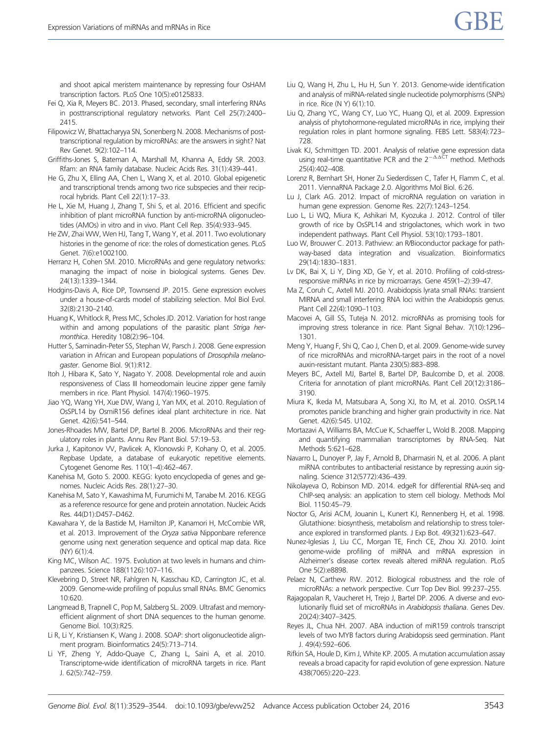<span id="page-14-0"></span>and shoot apical meristem maintenance by repressing four OsHAM transcription factors. PLoS One 10(5):e0125833.

- Fei Q, Xia R, Meyers BC. 2013. Phased, secondary, small interfering RNAs in posttranscriptional regulatory networks. Plant Cell 25(7):2400– 2415.
- Filipowicz W, Bhattacharyya SN, Sonenberg N. 2008. Mechanisms of posttranscriptional regulation by microRNAs: are the answers in sight? Nat Rev Genet. 9(2):102–114.
- Griffiths-Jones S, Bateman A, Marshall M, Khanna A, Eddy SR. 2003. Rfam: an RNA family database. Nucleic Acids Res. 31(1):439–441.
- He G, Zhu X, Elling AA, Chen L, Wang X, et al. 2010. Global epigenetic and transcriptional trends among two rice subspecies and their reciprocal hybrids. Plant Cell 22(1):17–33.
- He L, Xie M, Huang J, Zhang T, Shi S, et al. 2016. Efficient and specific inhibition of plant microRNA function by anti-microRNA oligonucleotides (AMOs) in vitro and in vivo. Plant Cell Rep. 35(4):933–945.
- He ZW, Zhai WW, Wen HJ, Tang T, Wang Y, et al. 2011. Two evolutionary histories in the genome of rice: the roles of domestication genes. PLoS Genet. 7(6):e1002100.
- Herranz H, Cohen SM. 2010. MicroRNAs and gene regulatory networks: managing the impact of noise in biological systems. Genes Dev. 24(13):1339–1344.
- Hodgins-Davis A, Rice DP, Townsend JP. 2015. Gene expression evolves under a house-of-cards model of stabilizing selection. Mol Biol Evol. 32(8):2130–2140.
- Huang K, Whitlock R, Press MC, Scholes JD. 2012. Variation for host range within and among populations of the parasitic plant Striga hermonthica. Heredity 108(2):96–104.
- Hutter S, Saminadin-Peter SS, Stephan W, Parsch J. 2008. Gene expression variation in African and European populations of Drosophila melanogaster. Genome Biol. 9(1):R12.
- Itoh J, Hibara K, Sato Y, Nagato Y. 2008. Developmental role and auxin responsiveness of Class III homeodomain leucine zipper gene family members in rice. Plant Physiol. 147(4):1960–1975.
- Jiao YQ, Wang YH, Xue DW, Wang J, Yan MX, et al. 2010. Regulation of OsSPL14 by OsmiR156 defines ideal plant architecture in rice. Nat Genet. 42(6):541–544.
- Jones-Rhoades MW, Bartel DP, Bartel B. 2006. MicroRNAs and their regulatory roles in plants. Annu Rev Plant Biol. 57:19–53.
- Jurka J, Kapitonov VV, Pavlicek A, Klonowski P, Kohany O, et al. 2005. Repbase Update, a database of eukaryotic repetitive elements. Cytogenet Genome Res. 110(1–4):462–467.
- Kanehisa M, Goto S. 2000. KEGG: kyoto encyclopedia of genes and genomes. Nucleic Acids Res. 28(1):27–30.
- Kanehisa M, Sato Y, Kawashima M, Furumichi M, Tanabe M. 2016. KEGG as a reference resource for gene and protein annotation. Nucleic Acids Res. 44(D1):D457–D462.
- Kawahara Y, de la Bastide M, Hamilton JP, Kanamori H, McCombie WR, et al. 2013. Improvement of the Oryza sativa Nipponbare reference genome using next generation sequence and optical map data. Rice (NY) 6(1):4.
- King MC, Wilson AC. 1975. Evolution at two levels in humans and chimpanzees. Science 188(1126):107–116.
- Klevebring D, Street NR, Fahlgren N, Kasschau KD, Carrington JC, et al. 2009. Genome-wide profiling of populus small RNAs. BMC Genomics 10:620.
- Langmead B, Trapnell C, Pop M, Salzberg SL. 2009. Ultrafast and memoryefficient alignment of short DNA sequences to the human genome. Genome Biol. 10(3):R25.
- Li R, Li Y, Kristiansen K, Wang J. 2008. SOAP: short oligonucleotide alignment program. Bioinformatics 24(5):713–714.
- Li YF, Zheng Y, Addo-Quaye C, Zhang L, Saini A, et al. 2010. Transcriptome-wide identification of microRNA targets in rice. Plant J. 62(5):742–759.
- Liu Q, Wang H, Zhu L, Hu H, Sun Y. 2013. Genome-wide identification and analysis of miRNA-related single nucleotide polymorphisms (SNPs) in rice. Rice (N Y) 6(1):10.
- Liu Q, Zhang YC, Wang CY, Luo YC, Huang QJ, et al. 2009. Expression analysis of phytohormone-regulated microRNAs in rice, implying their regulation roles in plant hormone signaling. FEBS Lett. 583(4):723– 728.
- Livak KJ, Schmittgen TD. 2001. Analysis of relative gene expression data using real-time quantitative PCR and the  $2^{-\Delta\Delta CT}$  method. Methods 25(4):402–408.
- Lorenz R, Bernhart SH, Honer Zu Siederdissen C, Tafer H, Flamm C, et al. 2011. ViennaRNA Package 2.0. Algorithms Mol Biol. 6:26.
- Lu J, Clark AG. 2012. Impact of microRNA regulation on variation in human gene expression. Genome Res. 22(7):1243–1254.
- Luo L, Li WQ, Miura K, Ashikari M, Kyozuka J. 2012. Control of tiller growth of rice by OsSPL14 and strigolactones, which work in two independent pathways. Plant Cell Physiol. 53(10):1793–1801.
- Luo W, Brouwer C. 2013. Pathview: an R/Bioconductor package for pathway-based data integration and visualization. Bioinformatics 29(14):1830–1831.
- Lv DK, Bai X, Li Y, Ding XD, Ge Y, et al. 2010. Profiling of cold-stressresponsive miRNAs in rice by microarrays. Gene 459(1–2):39–47.
- Ma Z, Coruh C, Axtell MJ. 2010. Arabidopsis lyrata small RNAs: transient MIRNA and small interfering RNA loci within the Arabidopsis genus. Plant Cell 22(4):1090–1103.
- Macovei A, Gill SS, Tuteja N. 2012. microRNAs as promising tools for improving stress tolerance in rice. Plant Signal Behav. 7(10):1296– 1301.
- Meng Y, Huang F, Shi Q, Cao J, Chen D, et al. 2009. Genome-wide survey of rice microRNAs and microRNA-target pairs in the root of a novel auxin-resistant mutant. Planta 230(5):883–898.
- Meyers BC, Axtell MJ, Bartel B, Bartel DP, Baulcombe D, et al. 2008. Criteria for annotation of plant microRNAs. Plant Cell 20(12):3186– 3190.
- Miura K, Ikeda M, Matsubara A, Song XJ, Ito M, et al. 2010. OsSPL14 promotes panicle branching and higher grain productivity in rice. Nat Genet. 42(6):545. U102.
- Mortazavi A, Williams BA, McCue K, Schaeffer L, Wold B. 2008. Mapping and quantifying mammalian transcriptomes by RNA-Seq. Nat Methods 5:621–628.
- Navarro L, Dunoyer P, Jay F, Arnold B, Dharmasiri N, et al. 2006. A plant miRNA contributes to antibacterial resistance by repressing auxin signaling. Science 312(5772):436–439.
- Nikolayeva O, Robinson MD. 2014. edgeR for differential RNA-seq and ChIP-seq analysis: an application to stem cell biology. Methods Mol Biol. 1150:45–79.
- Noctor G, Arisi ACM, Jouanin L, Kunert KJ, Rennenberg H, et al. 1998. Glutathione: biosynthesis, metabolism and relationship to stress tolerance explored in transformed plants. J Exp Bot. 49(321):623–647.
- Nunez-Iglesias J, Liu CC, Morgan TE, Finch CE, Zhou XJ. 2010. Joint genome-wide profiling of miRNA and mRNA expression in Alzheimer's disease cortex reveals altered miRNA regulation. PLoS One 5(2):e8898.
- Pelaez N, Carthew RW. 2012. Biological robustness and the role of microRNAs: a network perspective. Curr Top Dev Biol. 99:237–255.
- Rajagopalan R, Vaucheret H, Trejo J, Bartel DP. 2006. A diverse and evolutionarily fluid set of microRNAs in Arabidopsis thaliana. Genes Dev. 20(24):3407–3425.
- Reyes JL, Chua NH. 2007. ABA induction of miR159 controls transcript levels of two MYB factors during Arabidopsis seed germination. Plant J. 49(4):592–606.
- Rifkin SA, Houle D, Kim J, White KP. 2005. A mutation accumulation assay reveals a broad capacity for rapid evolution of gene expression. Nature 438(7065):220–223.